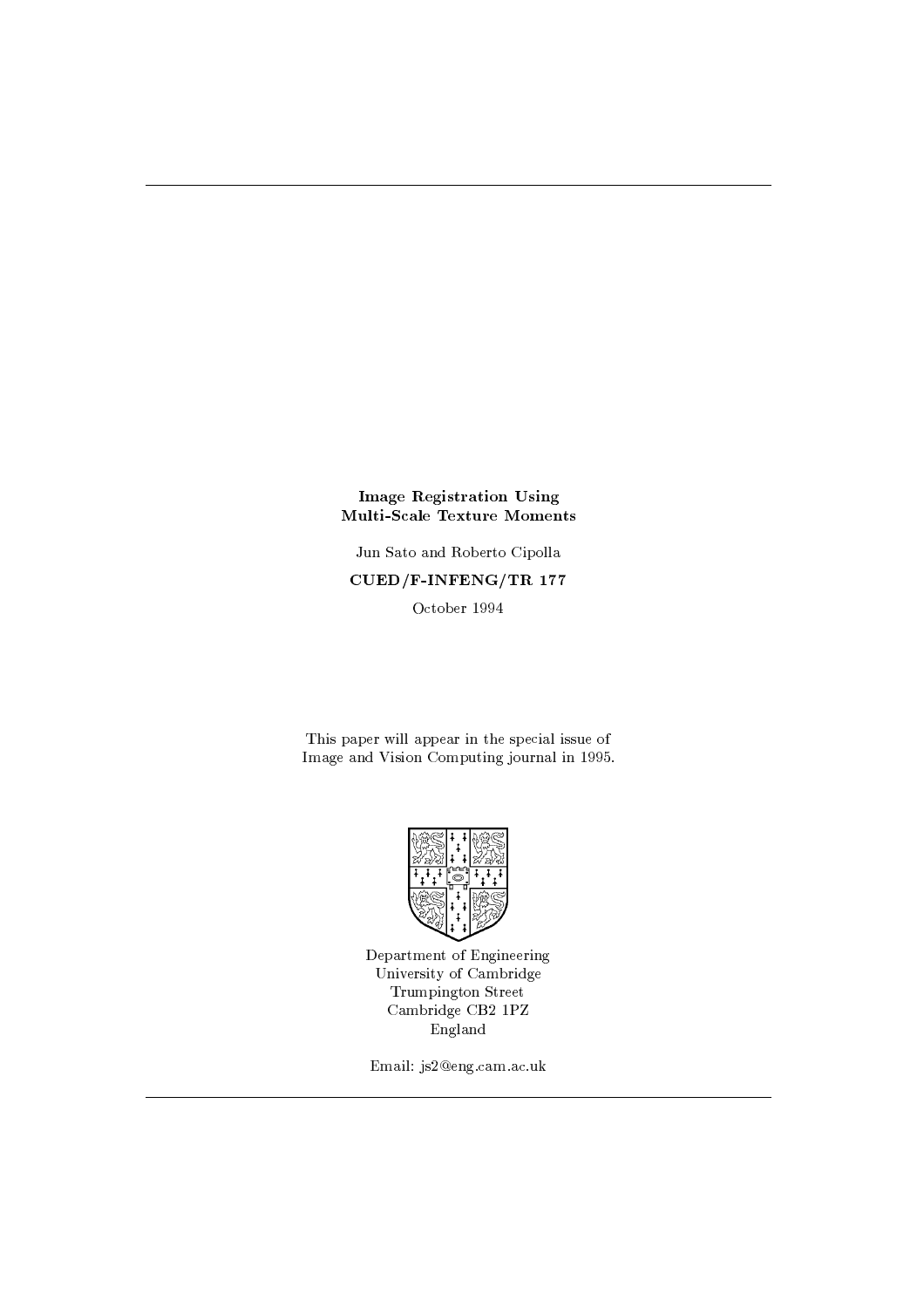## **Image Registration Using Multi-Scale Texture Moments**

Jun Sato and Roberto Cipolla  $\text{CUED}/\text{F-INFENG}/\text{TR}$  177 October 1994

This paper will appear in the special issue of Image and Vision Computing journal in 1995.



Department of Engineering University of Cambridge Trumpington Street Cambridge CB2 1PZ England

Email: js2@eng.cam.ac.uk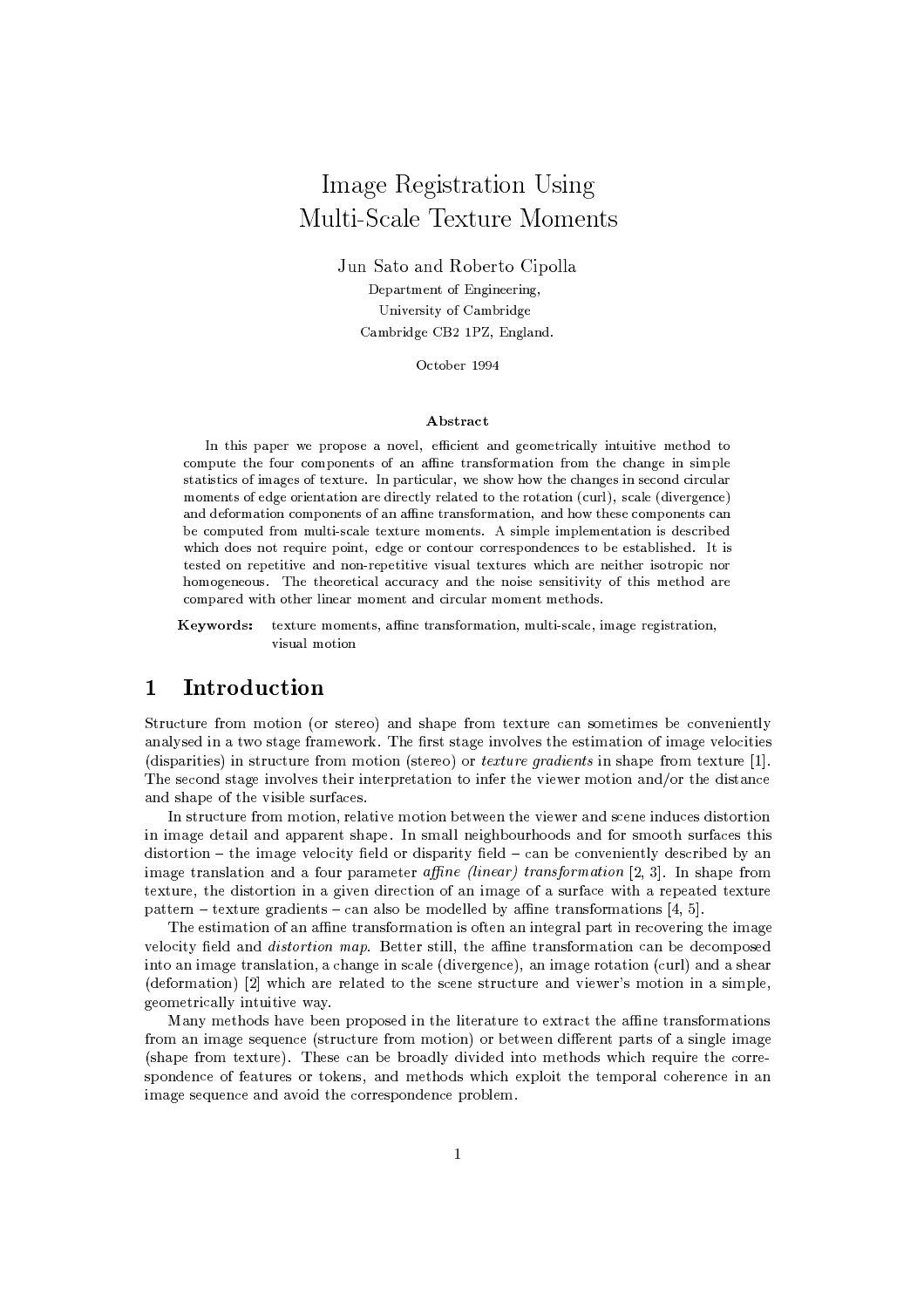# Image Registration Using Multi-Scale Texture Moments

Jun Sato and Roberto Cipolla Department of Engineering, University of Cambridge Cambridge CB2 1PZ, England.

October 1994

## Abstract

In this paper we propose a novel, efficient and geometrically intuitive method to compute the four components of an affine transformation from the change in simple statistics of images of texture. In particular, we show how the changes in second circular moments of edge orientation are directly related to the rotation (curl), scale (divergence) and deformation components of an affine transformation, and how these components can be computed from multi-scale texture moments. A simple implementation is described which does not require point, edge or contour correspondences to be established. It is tested on repetitive and non-repetitive visual textures which are neither isotropic nor homogeneous. The theoretical accuracy and the noise sensitivity of this method are compared with other linear moment and circular moment methods.

texture moments, affine transformation, multi-scale, image registration, Keywords: visual motion

### $\mathbf{1}$ Introduction

Structure from motion (or stereo) and shape from texture can sometimes be conveniently analysed in a two stage framework. The first stage involves the estimation of image velocities (disparities) in structure from motion (stereo) or *texture gradients* in shape from texture [1]. The second stage involves their interpretation to infer the viewer motion and/or the distance and shape of the visible surfaces.

In structure from motion, relative motion between the viewer and scene induces distortion in image detail and apparent shape. In small neighbourhoods and for smooth surfaces this  $distortion - the image velocity field or disparity field - can be conveniently described by an$ image translation and a four parameter affine (linear) transformation [2, 3]. In shape from texture, the distortion in a given direction of an image of a surface with a repeated texture pattern – texture gradients – can also be modelled by affine transformations [4, 5].

The estimation of an affine transformation is often an integral part in recovering the image velocity field and *distortion map*. Better still, the affine transformation can be decomposed into an image translation, a change in scale (divergence), an image rotation (curl) and a shear (deformation) [2] which are related to the scene structure and viewer's motion in a simple, geometrically intuitive way.

Many methods have been proposed in the literature to extract the affine transformations from an image sequence (structure from motion) or between different parts of a single image (shape from texture). These can be broadly divided into methods which require the correspondence of features or tokens, and methods which exploit the temporal coherence in an image sequence and avoid the correspondence problem.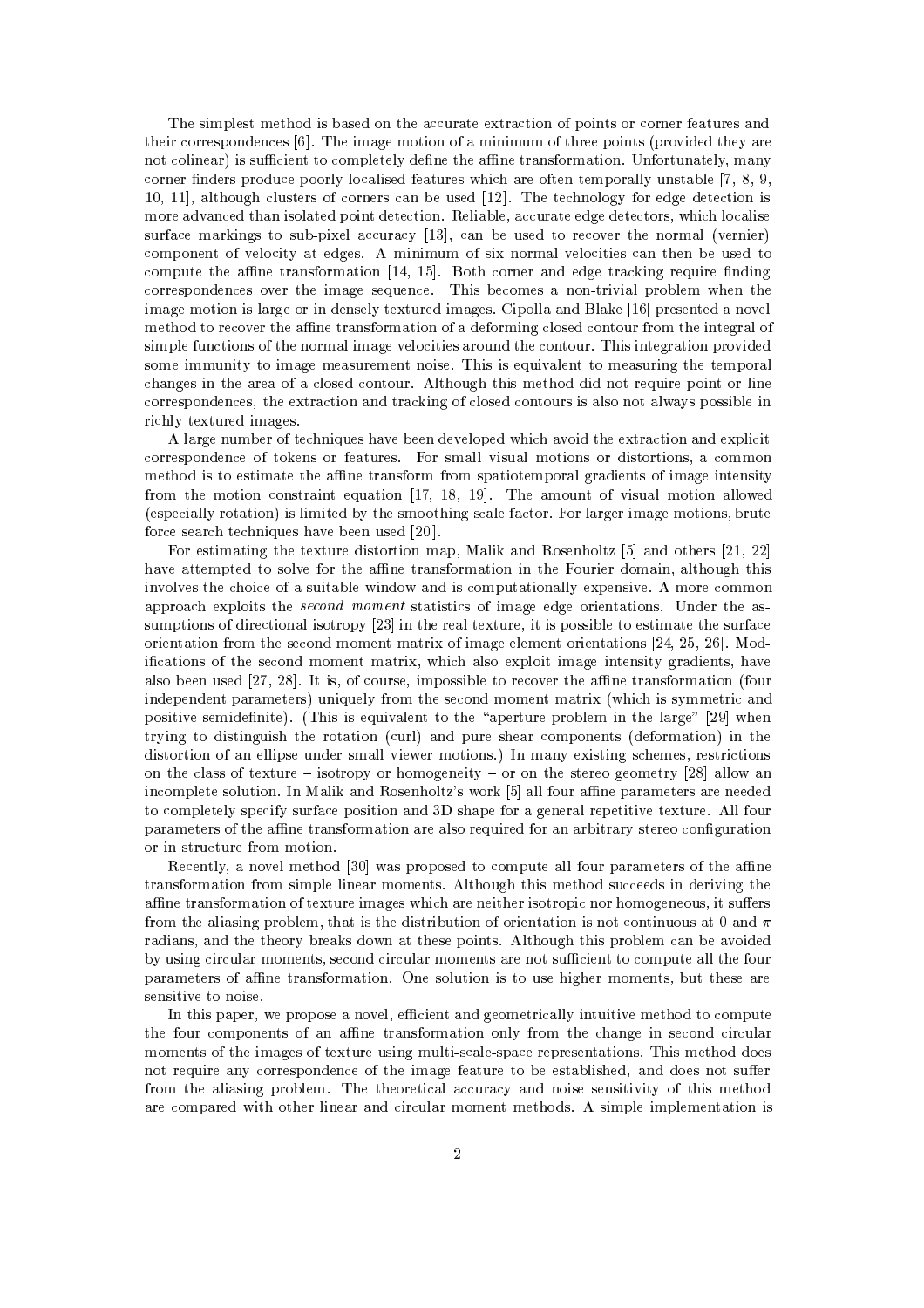The simplest method is based on the accurate extraction of points or corner features and their correspondences [6]. The image motion of a minimum of three points (provided they are not colinear) is sufficient to completely define the affine transformation. Unfortunately, many corner finders produce poorly localised features which are often temporally unstable [7, 8, 9, 10, 11], although clusters of corners can be used [12]. The technology for edge detection is more advanced than isolated point detection. Reliable, accurate edge detectors, which localise surface markings to sub-pixel accuracy [13], can be used to recover the normal (vernier) component of velocity at edges. A minimum of six normal velocities can then be used to compute the affine transformation [14, 15]. Both corner and edge tracking require finding correspondences over the image sequence. This becomes a non-trivial problem when the image motion is large or in densely textured images. Cipolla and Blake [16] presented a novel method to recover the affine transformation of a deforming closed contour from the integral of simple functions of the normal image velocities around the contour. This integration provided some immunity to image measurement noise. This is equivalent to measuring the temporal changes in the area of a closed contour. Although this method did not require point or line correspondences, the extraction and tracking of closed contours is also not always possible in richly textured images.

A large number of techniques have been developed which avoid the extraction and explicit correspondence of tokens or features. For small visual motions or distortions, a common method is to estimate the affine transform from spatiotemporal gradients of image intensity from the motion constraint equation [17, 18, 19]. The amount of visual motion allowed (especially rotation) is limited by the smoothing scale factor. For larger image motions, brute force search techniques have been used [20].

For estimating the texture distortion map, Malik and Rosenholtz [5] and others [21, 22] have attempted to solve for the affine transformation in the Fourier domain, although this involves the choice of a suitable window and is computationally expensive. A more common approach exploits the *second moment* statistics of image edge orientations. Under the assumptions of directional isotropy [23] in the real texture, it is possible to estimate the surface orientation from the second moment matrix of image element orientations [24, 25, 26]. Modifications of the second moment matrix, which also exploit image intensity gradients, have also been used [27, 28]. It is, of course, impossible to recover the affine transformation (four independent parameters) uniquely from the second moment matrix (which is symmetric and positive semidefinite). (This is equivalent to the "aperture problem in the large" [29] when trying to distinguish the rotation (curl) and pure shear components (deformation) in the distortion of an ellipse under small viewer motions.) In many existing schemes, restrictions on the class of texture – isotropy or homogeneity – or on the stereo geometry [28] allow an incomplete solution. In Malik and Rosenholtz's work [5] all four affine parameters are needed to completely specify surface position and 3D shape for a general repetitive texture. All four parameters of the affine transformation are also required for an arbitrary stereo configuration or in structure from motion.

Recently, a novel method [30] was proposed to compute all four parameters of the affine transformation from simple linear moments. Although this method succeeds in deriving the affine transformation of texture images which are neither isotropic nor homogeneous, it suffers from the aliasing problem, that is the distribution of orientation is not continuous at 0 and  $\pi$ radians, and the theory breaks down at these points. Although this problem can be avoided by using circular moments, second circular moments are not sufficient to compute all the four parameters of affine transformation. One solution is to use higher moments, but these are sensitive to noise.

In this paper, we propose a novel, efficient and geometrically intuitive method to compute the four components of an affine transformation only from the change in second circular moments of the images of texture using multi-scale-space representations. This method does not require any correspondence of the image feature to be established, and does not suffer from the aliasing problem. The theoretical accuracy and noise sensitivity of this method are compared with other linear and circular moment methods. A simple implementation is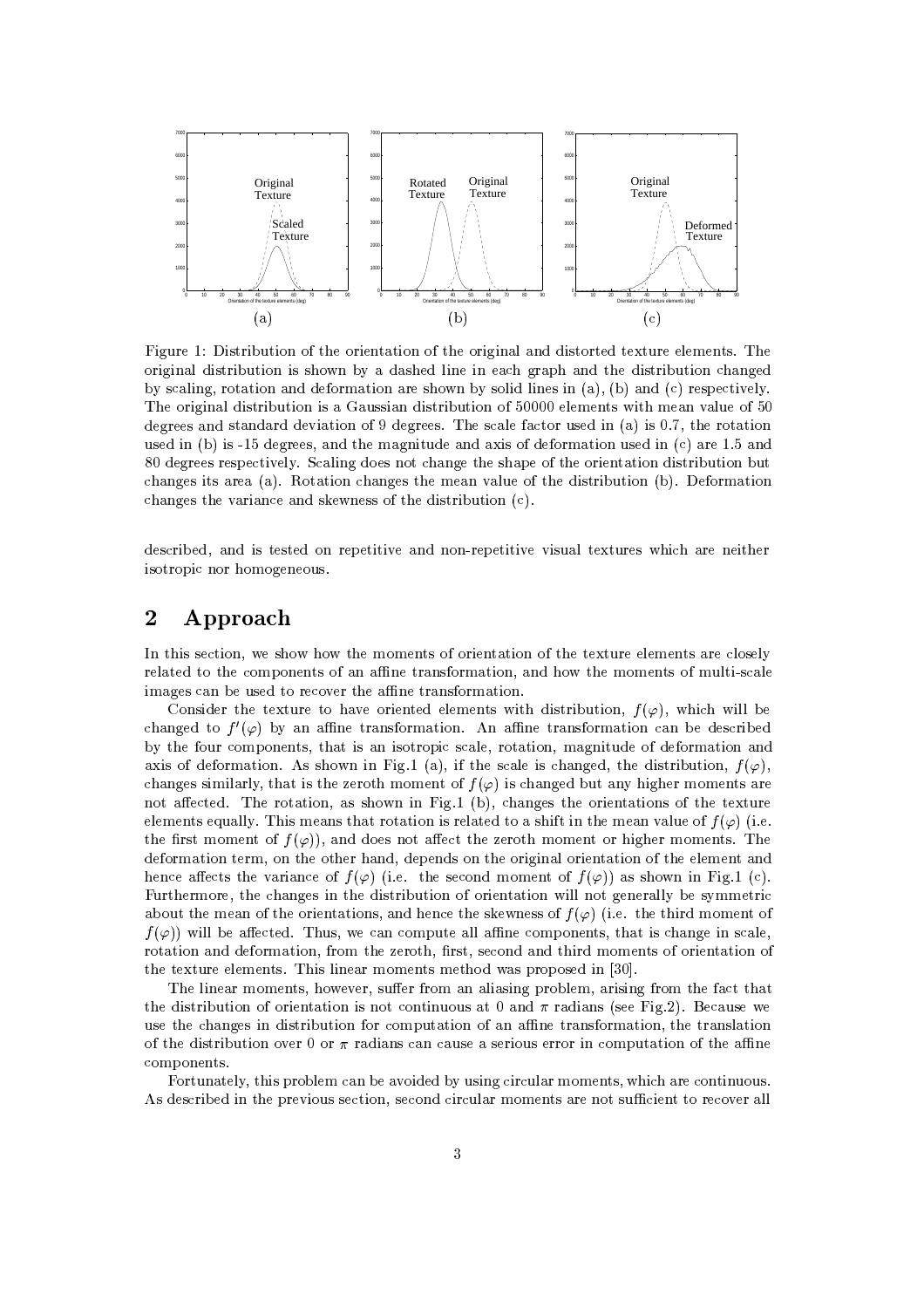

Figure 1: Distribution of the orientation of the original and distorted texture elements. The original distribution is shown by a dashed line in each graph and the distribution changed by scaling, rotation and deformation are shown by solid lines in  $(a)$ ,  $(b)$  and  $(c)$  respectively. The original distribution is a Gaussian distribution of 50000 elements with mean value of 50 degrees and standard deviation of 9 degrees. The scale factor used in (a) is 0.7, the rotation used in (b) is -15 degrees, and the magnitude and axis of deformation used in (c) are 1.5 and 80 degrees respectively. Scaling does not change the shape of the orientation distribution but changes its area (a). Rotation changes the mean value of the distribution (b). Deformation changes the variance and skewness of the distribution (c).

described, and is tested on repetitive and non-repetitive visual textures which are neither isotropic nor homogeneous.

### $\overline{2}$ Approach

In this section, we show how the moments of orientation of the texture elements are closely related to the components of an affine transformation, and how the moments of multi-scale images can be used to recover the affine transformation.

Consider the texture to have oriented elements with distribution,  $f(\varphi)$ , which will be changed to  $f'(\varphi)$  by an affine transformation. An affine transformation can be described by the four components, that is an isotropic scale, rotation, magnitude of deformation and axis of deformation. As shown in Fig.1 (a), if the scale is changed, the distribution,  $f(\varphi)$ , changes similarly, that is the zeroth moment of  $f(\varphi)$  is changed but any higher moments are not affected. The rotation, as shown in Fig.1 (b), changes the orientations of the texture elements equally. This means that rotation is related to a shift in the mean value of  $f(\varphi)$  (i.e. the first moment of  $f(\varphi)$ , and does not affect the zeroth moment or higher moments. The deformation term, on the other hand, depends on the original orientation of the element and hence affects the variance of  $f(\varphi)$  (i.e. the second moment of  $f(\varphi)$ ) as shown in Fig.1 (c). Furthermore, the changes in the distribution of orientation will not generally be symmetric about the mean of the orientations, and hence the skewness of  $f(\varphi)$  (i.e. the third moment of  $f(\varphi)$  will be affected. Thus, we can compute all affine components, that is change in scale, rotation and deformation, from the zeroth, first, second and third moments of orientation of the texture elements. This linear moments method was proposed in [30].

The linear moments, however, suffer from an aliasing problem, arising from the fact that the distribution of orientation is not continuous at 0 and  $\pi$  radians (see Fig.2). Because we use the changes in distribution for computation of an affine transformation, the translation of the distribution over 0 or  $\pi$  radians can cause a serious error in computation of the affine components.

Fortunately, this problem can be avoided by using circular moments, which are continuous. As described in the previous section, second circular moments are not sufficient to recover all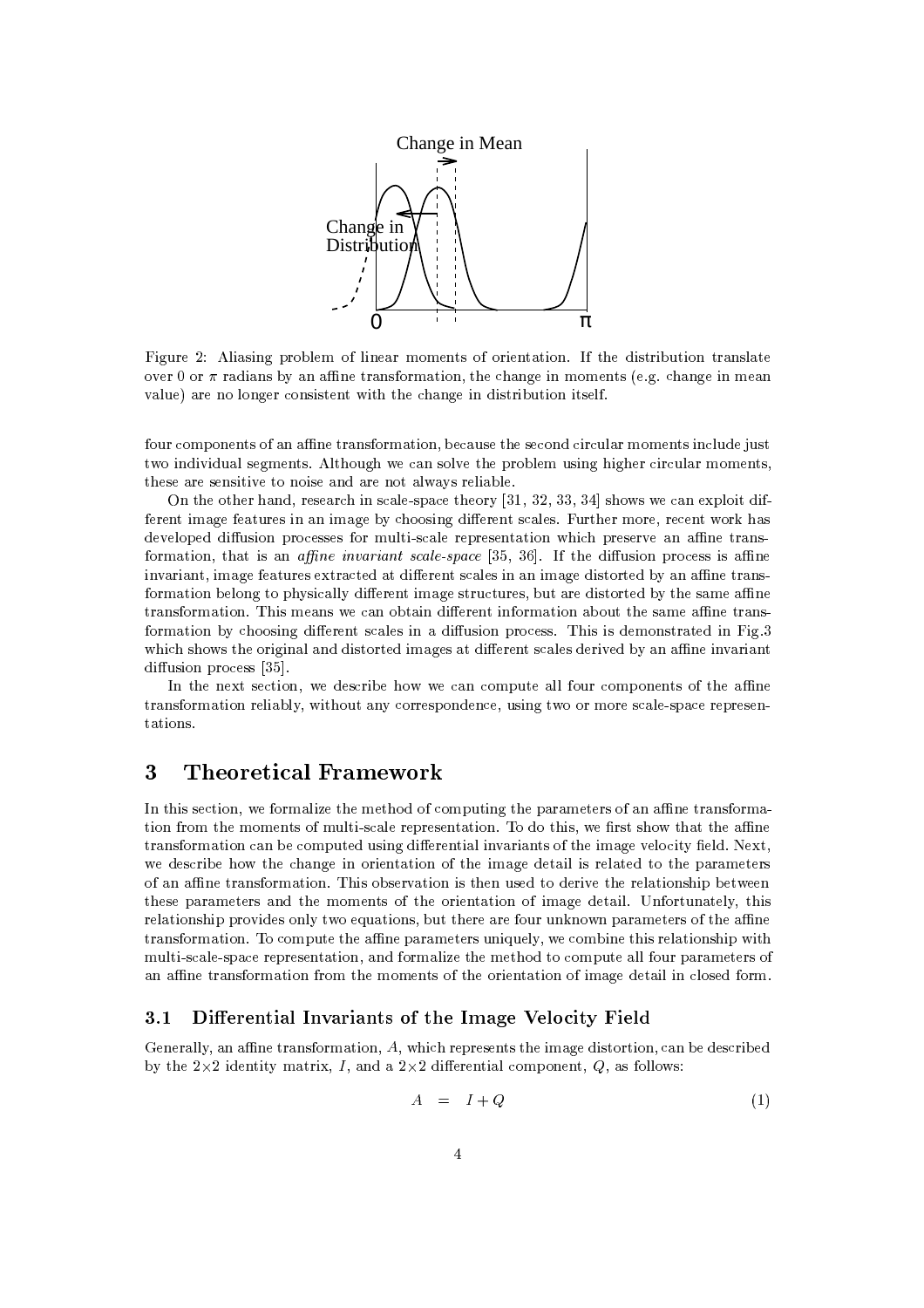

Figure 2: Aliasing problem of linear moments of orientation. If the distribution translate over 0 or  $\pi$  radians by an affine transformation, the change in moments (e.g. change in mean value) are no longer consistent with the change in distribution itself.

four components of an affine transformation, because the second circular moments include just two individual segments. Although we can solve the problem using higher circular moments, these are sensitive to noise and are not always reliable.

On the other hand, research in scale-space theory [31, 32, 33, 34] shows we can exploit different image features in an image by choosing different scales. Further more, recent work has developed diffusion processes for multi-scale representation which preserve an affine transformation, that is an *affine invariant scale-space* [35, 36]. If the diffusion process is affine invariant, image features extracted at different scales in an image distorted by an affine transformation belong to physically different image structures, but are distorted by the same affine transformation. This means we can obtain different information about the same affine transformation by choosing different scales in a diffusion process. This is demonstrated in Fig.3 which shows the original and distorted images at different scales derived by an affine invariant diffusion process [35].

In the next section, we describe how we can compute all four components of the affine transformation reliably, without any correspondence, using two or more scale-space representations.

### 3 **Theoretical Framework**

In this section, we formalize the method of computing the parameters of an affine transformation from the moments of multi-scale representation. To do this, we first show that the affine transformation can be computed using differential invariants of the image velocity field. Next, we describe how the change in orientation of the image detail is related to the parameters of an affine transformation. This observation is then used to derive the relationship between these parameters and the moments of the orientation of image detail. Unfortunately, this relationship provides only two equations, but there are four unknown parameters of the affine transformation. To compute the affine parameters uniquely, we combine this relationship with multi-scale-space representation, and formalize the method to compute all four parameters of an affine transformation from the moments of the orientation of image detail in closed form.

#### $3.1$ Differential Invariants of the Image Velocity Field

Generally, an affine transformation,  $A$ , which represents the image distortion, can be described by the  $2\times 2$  identity matrix, I, and a  $2\times 2$  differential component, Q, as follows:

$$
A = I + Q \tag{1}
$$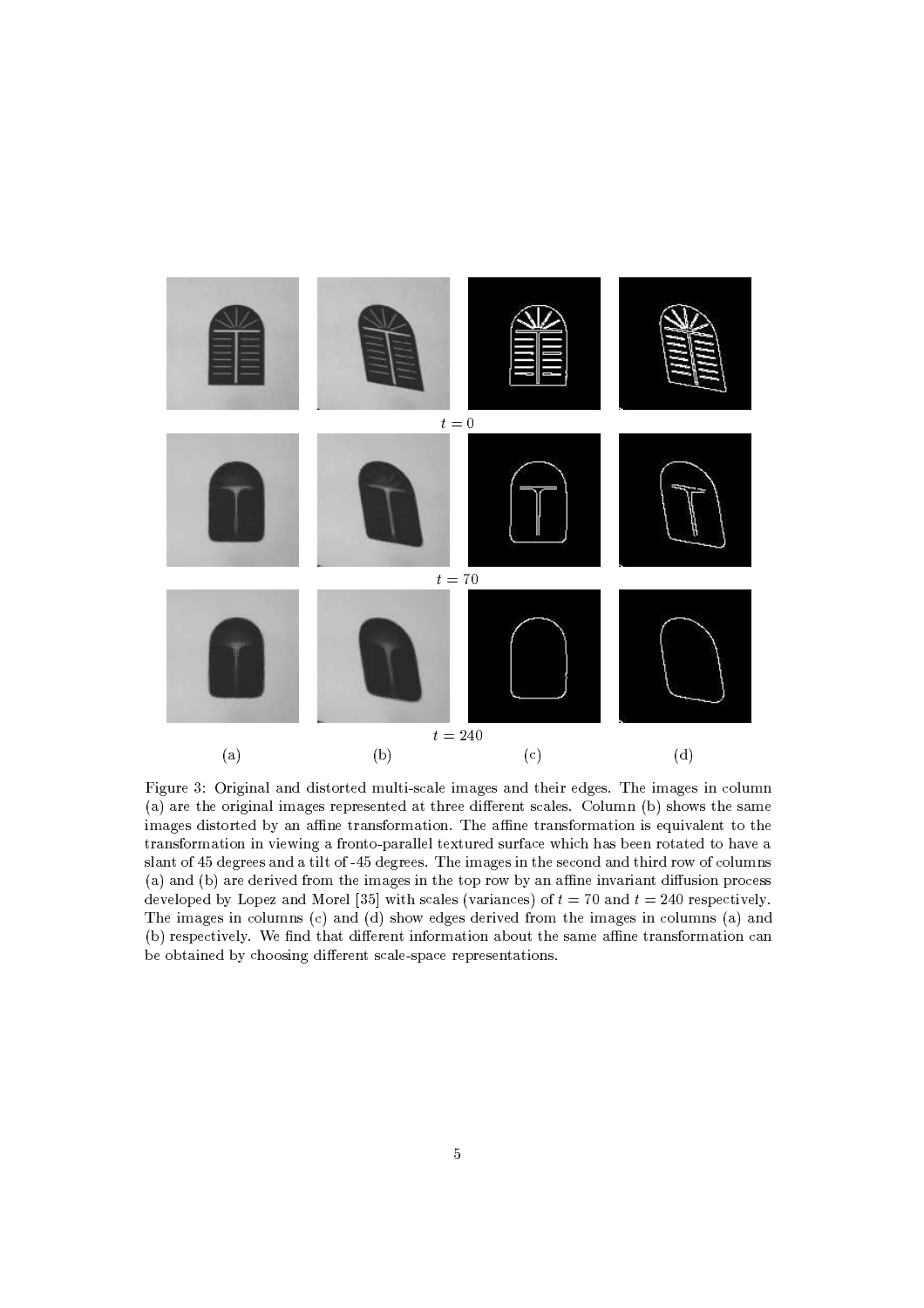

Figure 3: Original and distorted multi-scale images and their edges. The images in column (a) are the original images represented at three different scales. Column (b) shows the same images distorted by an affine transformation. The affine transformation is equivalent to the transformation in viewing a fronto-parallel textured surface which has been rotated to have a slant of 45 degrees and a tilt of -45 degrees. The images in the second and third row of columns (a) and (b) are derived from the images in the top row by an affine invariant diffusion process developed by Lopez and Morel [35] with scales (variances) of  $t = 70$  and  $t = 240$  respectively. The images in columns (c) and (d) show edges derived from the images in columns (a) and (b) respectively. We find that different information about the same affine transformation can be obtained by choosing different scale-space representations.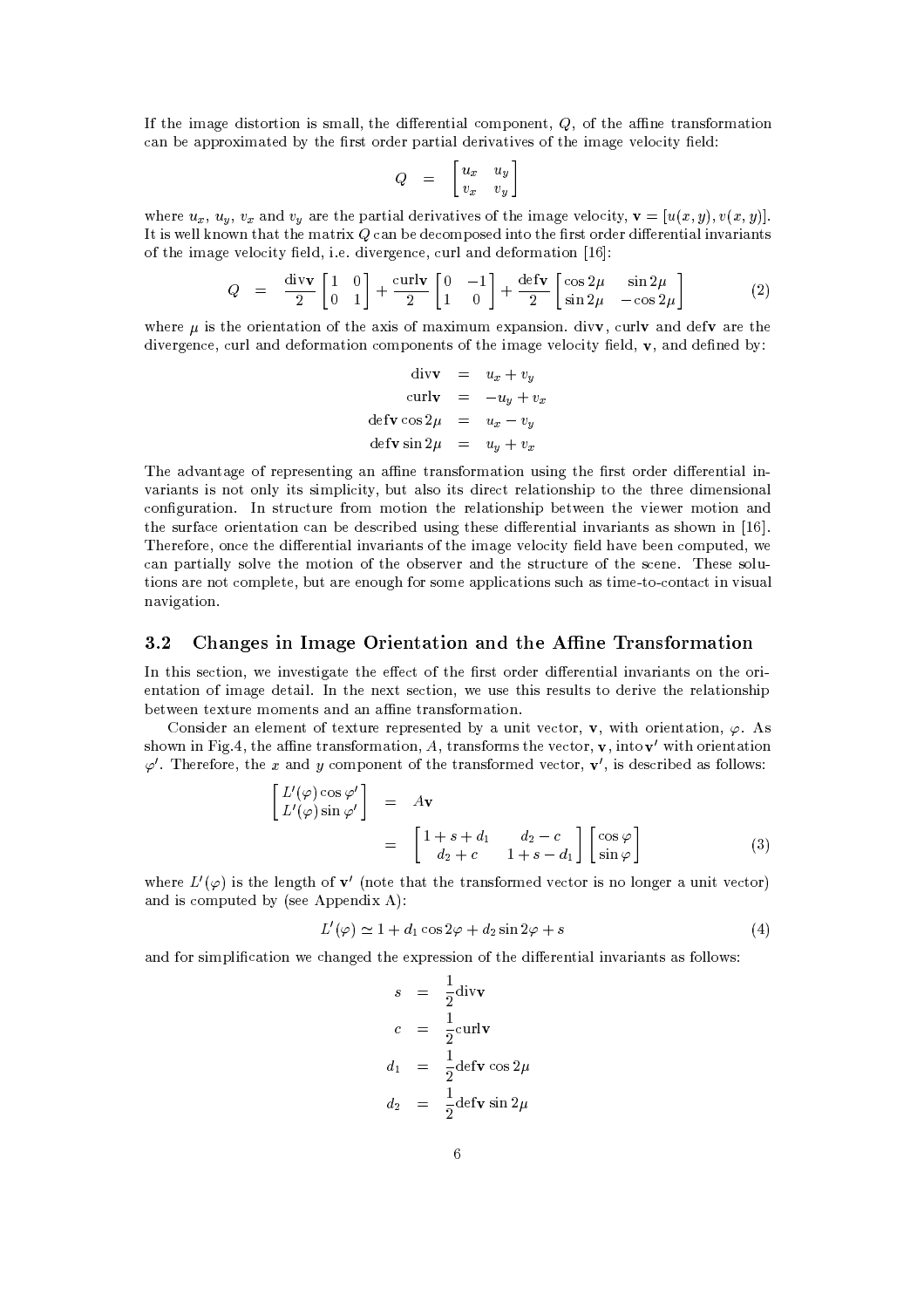If the image distortion is small, the differential component,  $Q$ , of the affine transformation can be approximated by the first order partial derivatives of the image velocity field:

$$
Q = \begin{bmatrix} u_x & u_y \\ v_x & v_y \end{bmatrix}
$$

where  $u_x$ ,  $u_y$ ,  $v_x$  and  $v_y$  are the partial derivatives of the image velocity,  $\mathbf{v} = [u(x, y), v(x, y)].$ It is well known that the matrix  $Q$  can be decomposed into the first order differential invariants of the image velocity field, i.e. divergence, curl and deformation [16]:

$$
Q = \frac{\text{div}\mathbf{v}}{2} \begin{bmatrix} 1 & 0 \\ 0 & 1 \end{bmatrix} + \frac{\text{curl}\mathbf{v}}{2} \begin{bmatrix} 0 & -1 \\ 1 & 0 \end{bmatrix} + \frac{\text{def}\mathbf{v}}{2} \begin{bmatrix} \cos 2\mu & \sin 2\mu \\ \sin 2\mu & -\cos 2\mu \end{bmatrix}
$$
(2)

where  $\mu$  is the orientation of the axis of maximum expansion. divv, curlv and defv are the divergence, curl and deformation components of the image velocity field,  $\mathbf{v}$ , and defined by:

 $\ddotsc$ 

$$
\begin{aligned}\n\text{div}\mathbf{v} &= u_x + v_y \\
\text{curl}\mathbf{v} &= -u_y + v_x \\
\text{def}\mathbf{v}\cos 2\mu &= u_x - v_y \\
\text{def}\mathbf{v}\sin 2\mu &= u_y + v_x\n\end{aligned}
$$

The advantage of representing an affine transformation using the first order differential invariants is not only its simplicity, but also its direct relationship to the three dimensional configuration. In structure from motion the relationship between the viewer motion and the surface orientation can be described using these differential invariants as shown in [16]. Therefore, once the differential invariants of the image velocity field have been computed, we can partially solve the motion of the observer and the structure of the scene. These solutions are not complete, but are enough for some applications such as time-to-contact in visual navigation.

#### $3.2$ Changes in Image Orientation and the Affine Transformation

In this section, we investigate the effect of the first order differential invariants on the orientation of image detail. In the next section, we use this results to derive the relationship between texture moments and an affine transformation.

Consider an element of texture represented by a unit vector, **v**, with orientation,  $\varphi$ . As shown in Fig.4, the affine transformation,  $A_1$  transforms the vector,  $\mathbf{v}$ , into  $\mathbf{v}'$  with orientation  $\varphi'$ . Therefore, the x and y component of the transformed vector,  $\mathbf{v}'$ , is described as follows:

$$
\begin{bmatrix}\nL'(\varphi)\cos\varphi' \\
L'(\varphi)\sin\varphi'\n\end{bmatrix} = A\mathbf{v}
$$
\n
$$
= \begin{bmatrix}\n1+s+d_1 & d_2-c \\
d_2+c & 1+s-d_1\n\end{bmatrix} \begin{bmatrix}\n\cos\varphi \\
\sin\varphi\n\end{bmatrix}
$$
\n(3)

where  $L'(\varphi)$  is the length of  $\mathbf{v}'$  (note that the transformed vector is no longer a unit vector) and is computed by (see Appendix A):

$$
L'(\varphi) \simeq 1 + d_1 \cos 2\varphi + d_2 \sin 2\varphi + s \tag{4}
$$

and for simplification we changed the expression of the differential invariants as follows:

$$
s = \frac{1}{2} \text{div} \mathbf{v}
$$
  
\n
$$
c = \frac{1}{2} \text{curl} \mathbf{v}
$$
  
\n
$$
d_1 = \frac{1}{2} \text{det} \mathbf{v} \cos 2\mu
$$
  
\n
$$
d_2 = \frac{1}{2} \text{det} \mathbf{v} \sin 2\mu
$$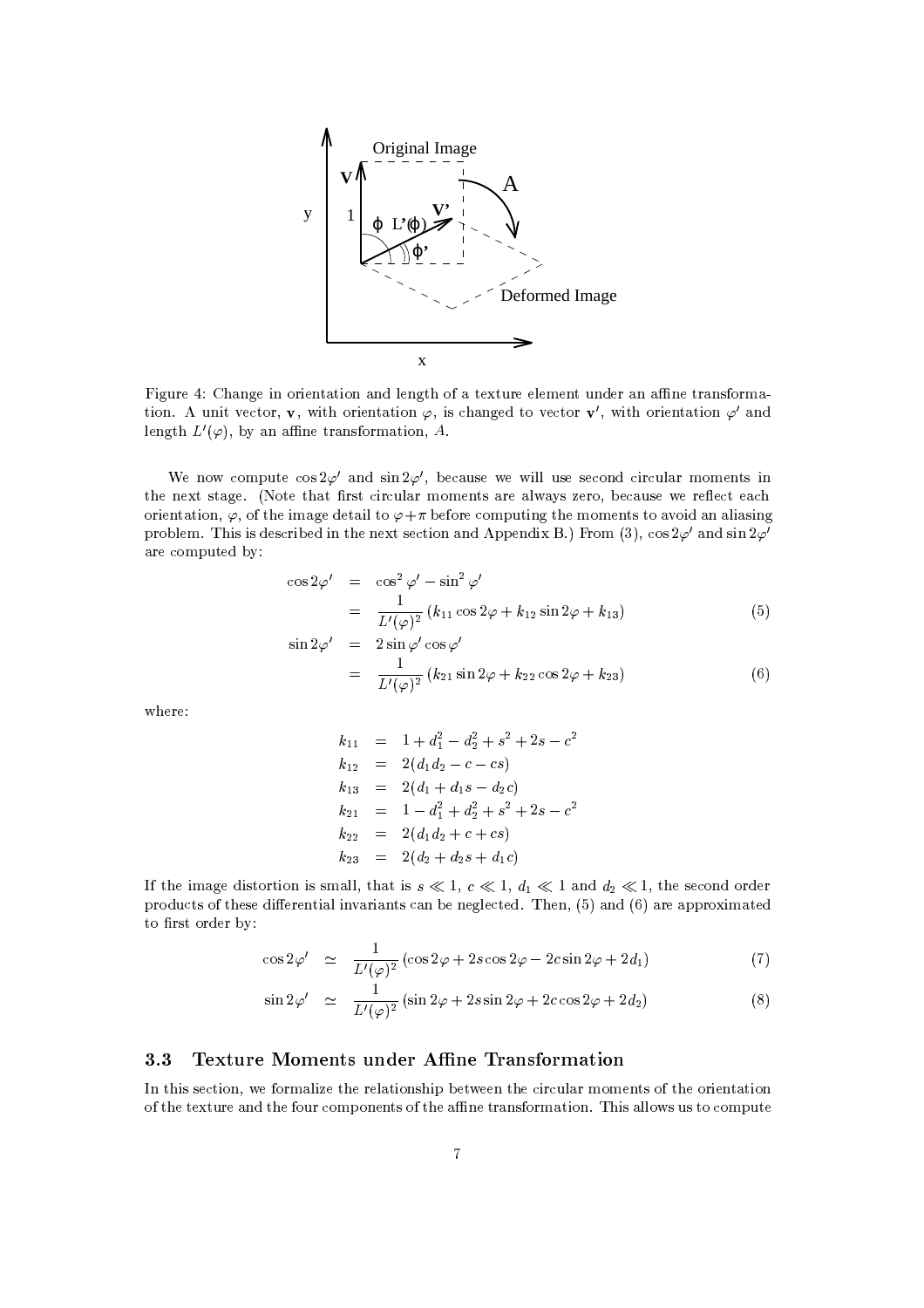

Figure 4: Change in orientation and length of a texture element under an affine transformation. A unit vector, **v**, with orientation  $\varphi$ , is changed to vector **v'**, with orientation  $\varphi'$  and length  $L'(\varphi)$ , by an affine transformation, A.

We now compute  $\cos 2\varphi'$  and  $\sin 2\varphi'$ , because we will use second circular moments in the next stage. (Note that first circular moments are always zero, because we reflect each orientation,  $\varphi$ , of the image detail to  $\varphi + \pi$  before computing the moments to avoid an aliasing problem. This is described in the next section and Appendix B.) From (3), cos  $2\varphi'$  and  $\sin 2\varphi'$ are computed by:

$$
\cos 2\varphi' = \cos^2 \varphi' - \sin^2 \varphi'
$$
  
= 
$$
\frac{1}{L'(\varphi)^2} (k_{11} \cos 2\varphi + k_{12} \sin 2\varphi + k_{13})
$$
 (5)

$$
\sin 2\varphi' = 2\sin \varphi' \cos \varphi'
$$
  
= 
$$
\frac{1}{L'(\varphi)^2} (k_{21} \sin 2\varphi + k_{22} \cos 2\varphi + k_{23})
$$
 (6)

where:

$$
k_{11} = 1 + d_1^2 - d_2^2 + s^2 + 2s - c^2
$$
  
\n
$$
k_{12} = 2(d_1d_2 - c - cs)
$$
  
\n
$$
k_{13} = 2(d_1 + d_1s - d_2c)
$$
  
\n
$$
k_{21} = 1 - d_1^2 + d_2^2 + s^2 + 2s - c^2
$$
  
\n
$$
k_{22} = 2(d_1d_2 + c + cs)
$$
  
\n
$$
k_{23} = 2(d_2 + d_2s + d_1c)
$$

If the image distortion is small, that is  $s \ll 1$ ,  $c \ll 1$ ,  $d_1 \ll 1$  and  $d_2 \ll 1$ , the second order products of these differential invariants can be neglected. Then, (5) and (6) are approximated to first order by:

$$
\cos 2\varphi' \quad \simeq \quad \frac{1}{L'(\varphi)^2} \left( \cos 2\varphi + 2s \cos 2\varphi - 2c \sin 2\varphi + 2d_1 \right) \tag{7}
$$

$$
\sin 2\varphi' \quad \simeq \quad \frac{1}{L'(\varphi)^2} \left( \sin 2\varphi + 2s \sin 2\varphi + 2c \cos 2\varphi + 2d_2 \right) \tag{8}
$$

#### $3.3$ Texture Moments under Affine Transformation

In this section, we formalize the relationship between the circular moments of the orientation of the texture and the four components of the affine transformation. This allows us to compute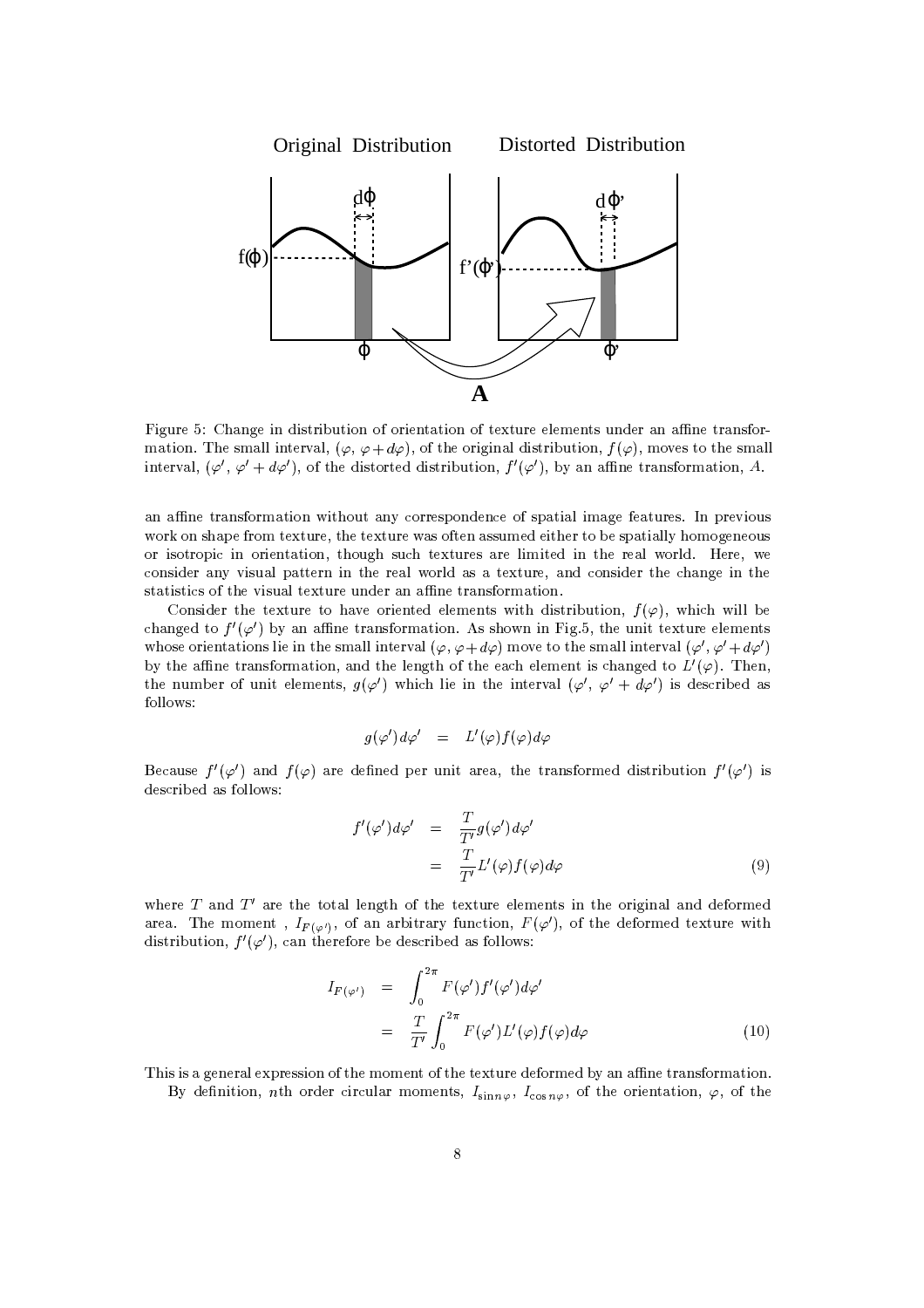

Figure 5: Change in distribution of orientation of texture elements under an affine transformation. The small interval,  $(\varphi, \varphi + d\varphi)$ , of the original distribution,  $f(\varphi)$ , moves to the small interval,  $(\varphi', \varphi' + d\varphi')$ , of the distorted distribution,  $f'(\varphi')$ , by an affine transformation, A.

an affine transformation without any correspondence of spatial image features. In previous work on shape from texture, the texture was often assumed either to be spatially homogeneous or isotropic in orientation, though such textures are limited in the real world. Here, we consider any visual pattern in the real world as a texture, and consider the change in the statistics of the visual texture under an affine transformation.

Consider the texture to have oriented elements with distribution,  $f(\varphi)$ , which will be changed to  $f'(\varphi')$  by an affine transformation. As shown in Fig.5, the unit texture elements whose orientations lie in the small interval  $(\varphi, \varphi + d\varphi)$  move to the small interval  $(\varphi', \varphi' + d\varphi')$ by the affine transformation, and the length of the each element is changed to  $L'(\varphi)$ . Then, the number of unit elements,  $g(\varphi')$  which lie in the interval  $(\varphi', \varphi' + d\varphi')$  is described as follows:

$$
g(\varphi')d\varphi' = L'(\varphi)f(\varphi)d\varphi
$$

Because  $f'(\varphi')$  and  $f(\varphi)$  are defined per unit area, the transformed distribution  $f'(\varphi')$  is described as follows:

$$
f'(\varphi')d\varphi' = \frac{T}{T'}g(\varphi')d\varphi'
$$
  
= 
$$
\frac{T}{T'}L'(\varphi)f(\varphi)d\varphi
$$
 (9)

where  $T$  and  $T'$  are the total length of the texture elements in the original and deformed area. The moment,  $I_{F(\varphi')}$ , of an arbitrary function,  $F(\varphi')$ , of the deformed texture with distribution,  $f'(\varphi')$ , can therefore be described as follows:

$$
I_{F(\varphi')} = \int_0^{2\pi} F(\varphi') f'(\varphi') d\varphi'
$$
  
= 
$$
\frac{T}{T'} \int_0^{2\pi} F(\varphi') L'(\varphi) f(\varphi) d\varphi
$$
 (10)

This is a general expression of the moment of the texture deformed by an affine transformation. By definition, nth order circular moments,  $I_{\sin n\varphi}$ ,  $I_{\cos n\varphi}$ , of the orientation,  $\varphi$ , of the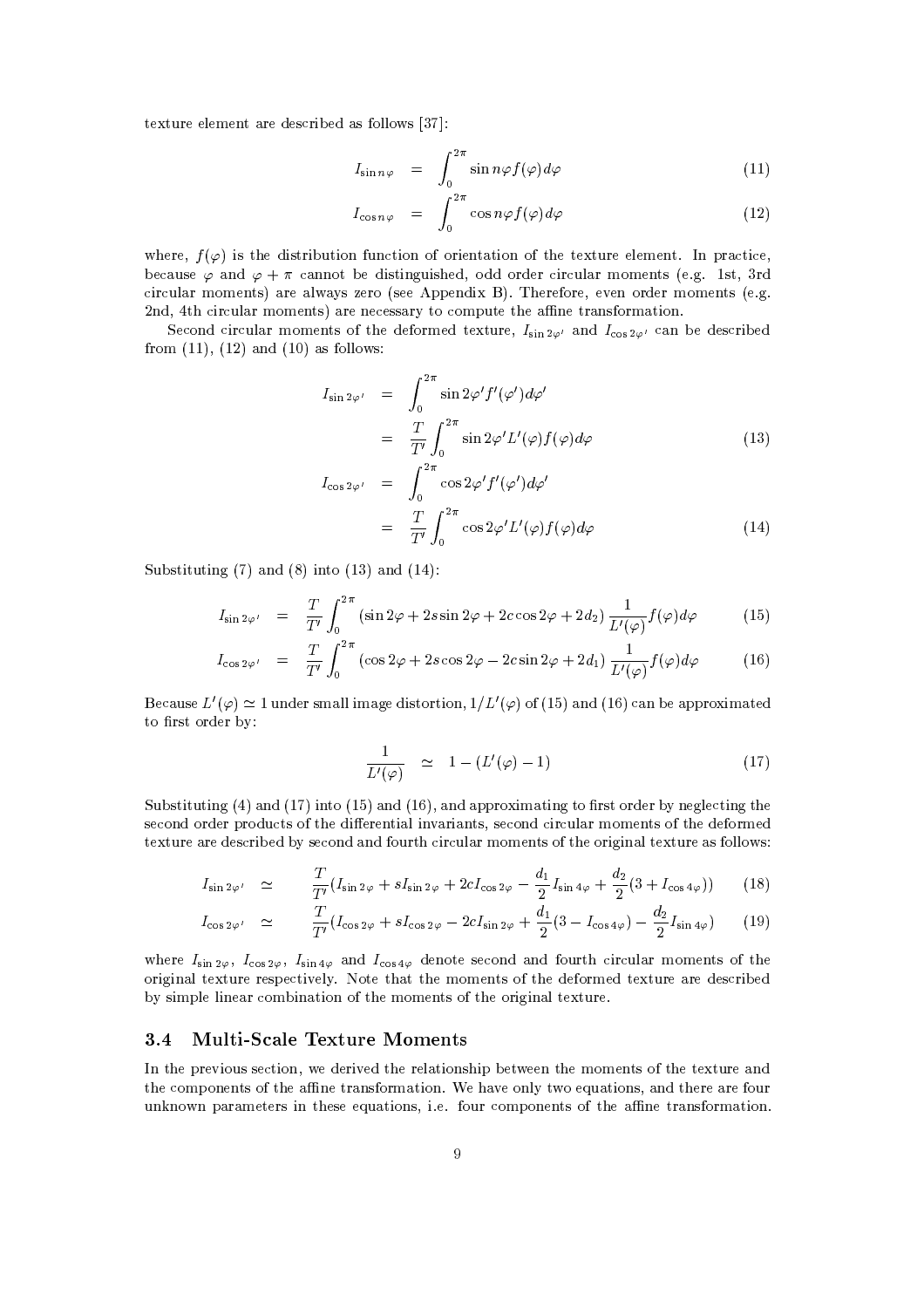texture element are described as follows [37]:

$$
I_{\sin n\varphi} = \int_0^{2\pi} \sin n\varphi f(\varphi) d\varphi \qquad (11)
$$

$$
I_{\cos n\varphi} = \int_0^{2\pi} \cos n\varphi f(\varphi) d\varphi \qquad (12)
$$

where,  $f(\varphi)$  is the distribution function of orientation of the texture element. In practice, because  $\varphi$  and  $\varphi + \pi$  cannot be distinguished, odd order circular moments (e.g. 1st, 3rd circular moments) are always zero (see Appendix B). Therefore, even order moments (e.g. 2nd, 4th circular moments) are necessary to compute the affine transformation.

Second circular moments of the deformed texture,  $I_{\sin 2\varphi}$  and  $I_{\cos 2\varphi}$  can be described from  $(11)$ ,  $(12)$  and  $(10)$  as follows:

$$
I_{\sin 2\varphi'} = \int_0^{2\pi} \sin 2\varphi' f'(\varphi') d\varphi'
$$
  
= 
$$
\frac{T}{T'} \int_0^{2\pi} \sin 2\varphi' L'(\varphi) f(\varphi) d\varphi
$$
 (13)

$$
I_{\cos 2\varphi'} = \int_0^{-\pi} \cos 2\varphi' f'(\varphi') d\varphi'
$$
  
= 
$$
\frac{T}{T'} \int_0^{2\pi} \cos 2\varphi' L'(\varphi) f(\varphi) d\varphi
$$
 (14)

Substituting  $(7)$  and  $(8)$  into  $(13)$  and  $(14)$ :

$$
I_{\sin 2\varphi'} = \frac{T}{T'} \int_0^{2\pi} (\sin 2\varphi + 2s \sin 2\varphi + 2c \cos 2\varphi + 2d_2) \frac{1}{L'(\varphi)} f(\varphi) d\varphi \tag{15}
$$

$$
I_{\cos 2\varphi'} = \frac{T}{T'} \int_0^{2\pi} (\cos 2\varphi + 2s \cos 2\varphi - 2c \sin 2\varphi + 2d_1) \frac{1}{L'(\varphi)} f(\varphi) d\varphi
$$
 (16)

Because  $L'(\varphi) \simeq 1$  under small image distortion,  $1/L'(\varphi)$  of (15) and (16) can be approximated to first order by:

$$
\frac{1}{L'(\varphi)} \quad \simeq \quad 1 - (L'(\varphi) - 1) \tag{17}
$$

Substituting  $(4)$  and  $(17)$  into  $(15)$  and  $(16)$ , and approximating to first order by neglecting the second order products of the differential invariants, second circular moments of the deformed texture are described by second and fourth circular moments of the original texture as follows:

$$
I_{\sin 2\varphi'} \simeq \frac{T}{T'} (I_{\sin 2\varphi} + sI_{\sin 2\varphi} + 2cI_{\cos 2\varphi} - \frac{d_1}{2} I_{\sin 4\varphi} + \frac{d_2}{2} (3 + I_{\cos 4\varphi})) \tag{18}
$$

$$
I_{\cos 2\varphi'} \simeq \frac{T}{T'} (I_{\cos 2\varphi} + s I_{\cos 2\varphi} - 2c I_{\sin 2\varphi} + \frac{d_1}{2} (3 - I_{\cos 4\varphi}) - \frac{d_2}{2} I_{\sin 4\varphi}) \tag{19}
$$

where  $I_{\sin 2\varphi}$ ,  $I_{\cos 2\varphi}$ ,  $I_{\sin 4\varphi}$  and  $I_{\cos 4\varphi}$  denote second and fourth circular moments of the original texture respectively. Note that the moments of the deformed texture are described by simple linear combination of the moments of the original texture.

#### **Multi-Scale Texture Moments**  $3.4$

In the previous section, we derived the relationship between the moments of the texture and the components of the affine transformation. We have only two equations, and there are four unknown parameters in these equations, i.e. four components of the affine transformation.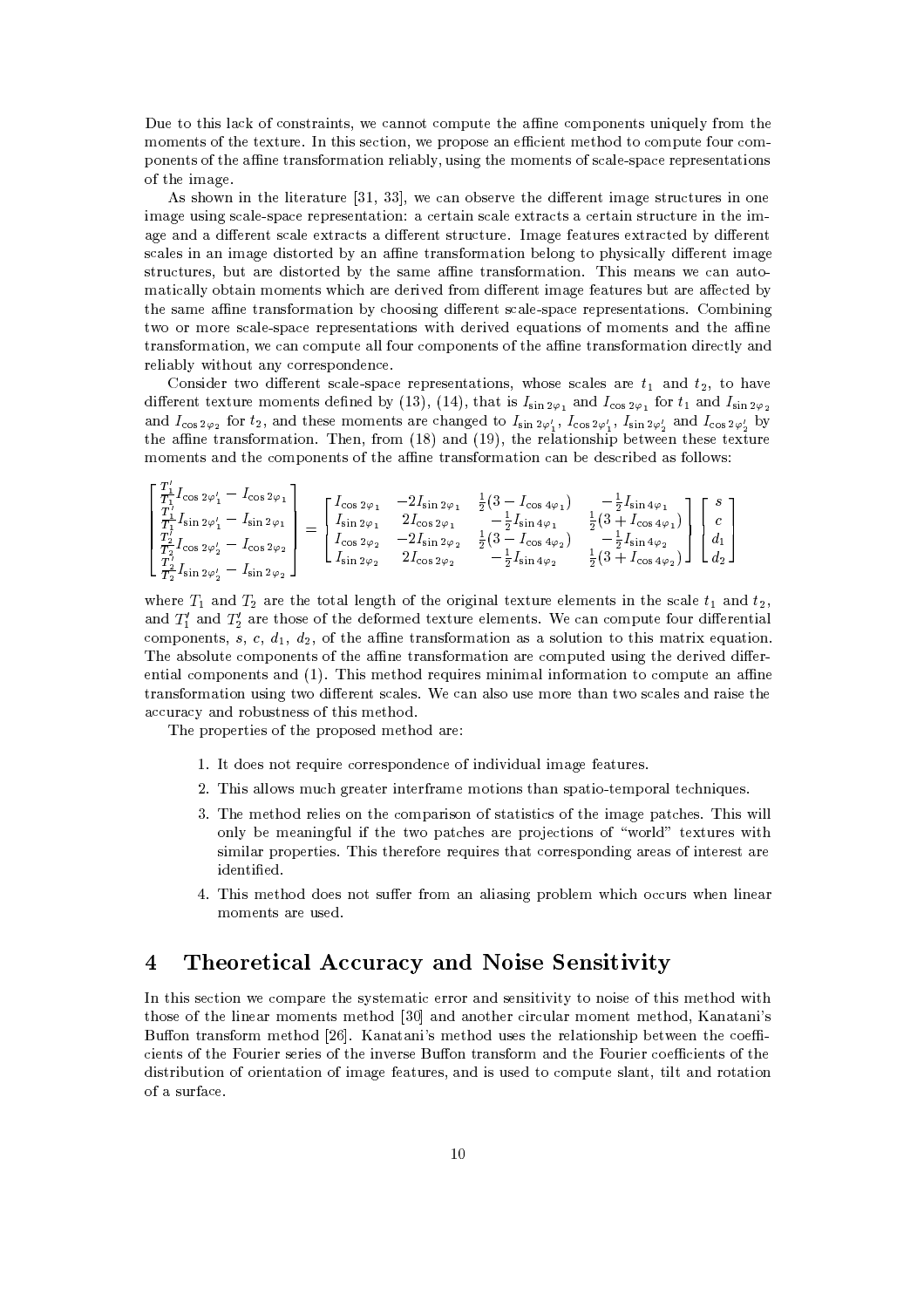Due to this lack of constraints, we cannot compute the affine components uniquely from the moments of the texture. In this section, we propose an efficient method to compute four components of the affine transformation reliably, using the moments of scale-space representations of the image.

As shown in the literature [31, 33], we can observe the different image structures in one image using scale-space representation: a certain scale extracts a certain structure in the image and a different scale extracts a different structure. Image features extracted by different scales in an image distorted by an affine transformation belong to physically different image structures, but are distorted by the same affine transformation. This means we can automatically obtain moments which are derived from different image features but are affected by the same affine transformation by choosing different scale-space representations. Combining two or more scale-space representations with derived equations of moments and the affine transformation, we can compute all four components of the affine transformation directly and reliably without any correspondence.

Consider two different scale-space representations, whose scales are  $t_1$  and  $t_2$ , to have different texture moments defined by (13), (14), that is  $I_{\sin 2\varphi_1}$  and  $I_{\cos 2\varphi_1}$  for  $t_1$  and  $I_{\sin 2\varphi_2}$ and  $I_{\cos 2\varphi_2}$  for  $t_2$ , and these moments are changed to  $I_{\sin 2\varphi'_1}$ ,  $I_{\cos 2\varphi'_1}$ ,  $I_{\sin 2\varphi'_2}$  and  $I_{\cos 2\varphi'_2}$  by the affine transformation. Then, from  $(18)$  and  $(19)$ , the relationship between these texture moments and the components of the affine transformation can be described as follows:

$$
\begin{bmatrix}\n\frac{T_1}{T_1} I_{\cos 2\varphi'_1} - I_{\cos 2\varphi_1} \\
\frac{T_1}{T_1} I_{\sin 2\varphi'_1} - I_{\sin 2\varphi_1} \\
\frac{T_2}{T_2} I_{\cos 2\varphi'_2} - I_{\cos 2\varphi_2} \\
\frac{T_2}{T_2} I_{\sin 2\varphi'_2} - I_{\sin 2\varphi_2}\n\end{bmatrix} = \begin{bmatrix}\nI_{\cos 2\varphi_1} & -2I_{\sin 2\varphi_1} & \frac{1}{2}(3 - I_{\cos 4\varphi_1}) & -\frac{1}{2}I_{\sin 4\varphi_1} \\
I_{\sin 2\varphi_1} & 2I_{\cos 2\varphi_1} & -\frac{1}{2}I_{\sin 4\varphi_1} & \frac{1}{2}(3 + I_{\cos 4\varphi_1}) \\
I_{\cos 2\varphi_2} & -2I_{\sin 2\varphi_2} & \frac{1}{2}(3 - I_{\cos 4\varphi_2}) & -\frac{1}{2}I_{\sin 4\varphi_2} \\
I_{\sin 2\varphi_2} & 2I_{\cos 2\varphi_2} & -\frac{1}{2}I_{\sin 4\varphi_2} & \frac{1}{2}(3 + I_{\cos 4\varphi_2})\n\end{bmatrix}\n\begin{bmatrix}\ns \\
c \\
d_1 \\
d_2\n\end{bmatrix}
$$

where  $T_1$  and  $T_2$  are the total length of the original texture elements in the scale  $t_1$  and  $t_2$ , and  $T'_1$  and  $T'_2$  are those of the deformed texture elements. We can compute four differential components, s, c,  $d_1$ ,  $d_2$ , of the affine transformation as a solution to this matrix equation. The absolute components of the affine transformation are computed using the derived differential components and (1). This method requires minimal information to compute an affine transformation using two different scales. We can also use more than two scales and raise the accuracy and robustness of this method.

The properties of the proposed method are:

 $\overline{a}$ 

- 1. It does not require correspondence of individual image features.
- 2. This allows much greater interframe motions than spatio-temporal techniques.
- 3. The method relies on the comparison of statistics of the image patches. This will only be meaningful if the two patches are projections of "world" textures with similar properties. This therefore requires that corresponding areas of interest are identified.
- 4. This method does not suffer from an aliasing problem which occurs when linear moments are used.

### Theoretical Accuracy and Noise Sensitivity  $\overline{4}$

In this section we compare the systematic error and sensitivity to noise of this method with those of the linear moments method [30] and another circular moment method. Kanatani's Buffon transform method [26]. Kanatani's method uses the relationship between the coefficients of the Fourier series of the inverse Buffon transform and the Fourier coefficients of the distribution of orientation of image features, and is used to compute slant, tilt and rotation of a surface.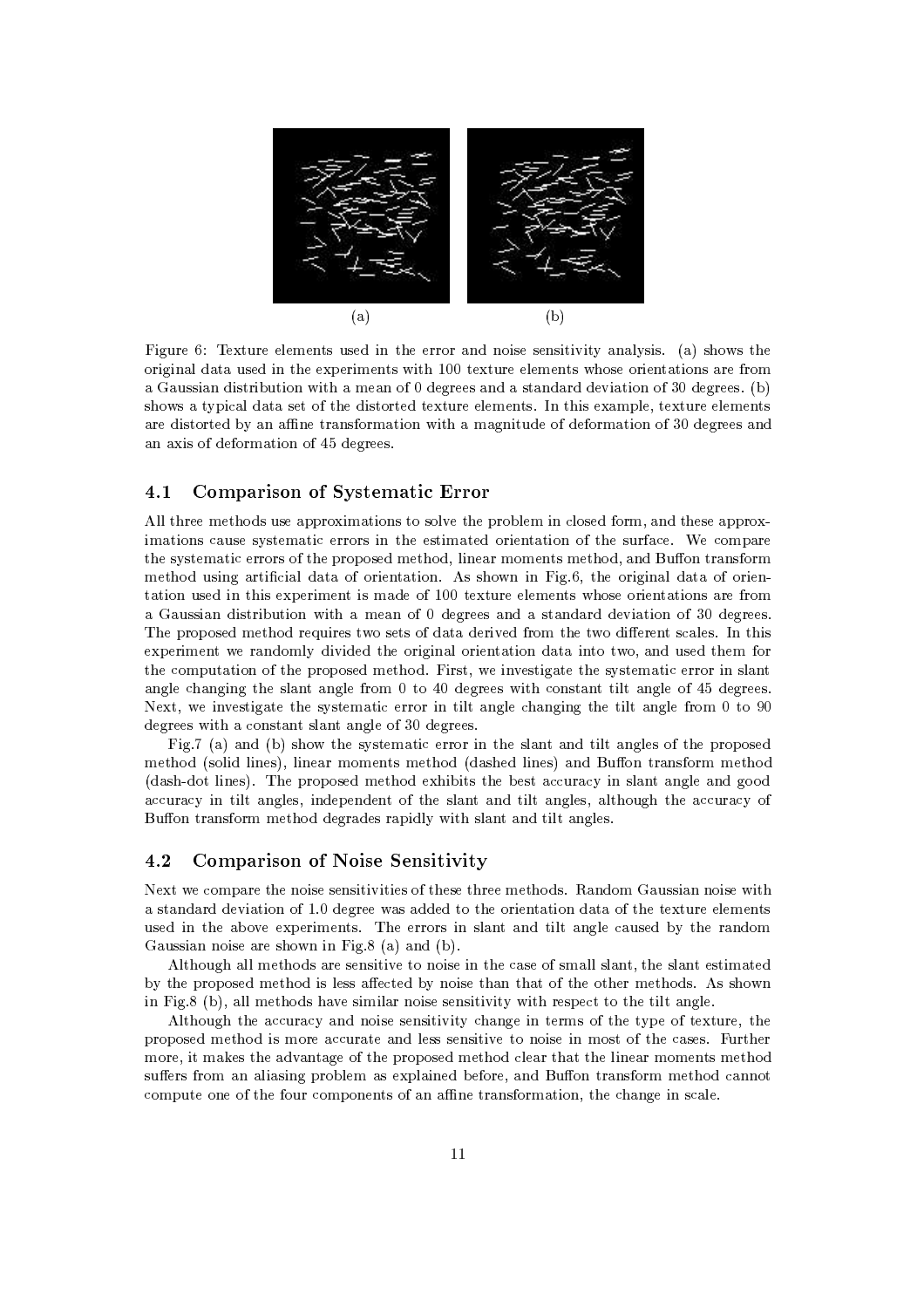

Figure 6: Texture elements used in the error and noise sensitivity analysis. (a) shows the original data used in the experiments with 100 texture elements whose orientations are from a Gaussian distribution with a mean of 0 degrees and a standard deviation of 30 degrees. (b) shows a typical data set of the distorted texture elements. In this example, texture elements are distorted by an affine transformation with a magnitude of deformation of 30 degrees and an axis of deformation of 45 degrees.

#### 4.1 **Comparison of Systematic Error**

All three methods use approximations to solve the problem in closed form, and these approximations cause systematic errors in the estimated orientation of the surface. We compare the systematic errors of the proposed method, linear moments method, and Buffon transform method using artificial data of orientation. As shown in Fig.6, the original data of orientation used in this experiment is made of 100 texture elements whose orientations are from a Gaussian distribution with a mean of 0 degrees and a standard deviation of 30 degrees. The proposed method requires two sets of data derived from the two different scales. In this experiment we randomly divided the original orientation data into two, and used them for the computation of the proposed method. First, we investigate the systematic error in slant angle changing the slant angle from 0 to 40 degrees with constant tilt angle of 45 degrees. Next, we investigate the systematic error in tilt angle changing the tilt angle from 0 to 90 degrees with a constant slant angle of 30 degrees.

Fig.7 (a) and (b) show the systematic error in the slant and tilt angles of the proposed method (solid lines), linear moments method (dashed lines) and Buffon transform method (dash-dot lines). The proposed method exhibits the best accuracy in slant angle and good accuracy in tilt angles, independent of the slant and tilt angles, although the accuracy of Buffon transform method degrades rapidly with slant and tilt angles.

#### 4.2 **Comparison of Noise Sensitivity**

Next we compare the noise sensitivities of these three methods. Random Gaussian noise with a standard deviation of 1.0 degree was added to the orientation data of the texture elements used in the above experiments. The errors in slant and tilt angle caused by the random Gaussian noise are shown in Fig.8 (a) and (b).

Although all methods are sensitive to noise in the case of small slant, the slant estimated by the proposed method is less affected by noise than that of the other methods. As shown in Fig.  $8$  (b), all methods have similar noise sensitivity with respect to the tilt angle.

Although the accuracy and noise sensitivity change in terms of the type of texture, the proposed method is more accurate and less sensitive to noise in most of the cases. Further more, it makes the advantage of the proposed method clear that the linear moments method suffers from an aliasing problem as explained before, and Buffon transform method cannot compute one of the four components of an affine transformation, the change in scale.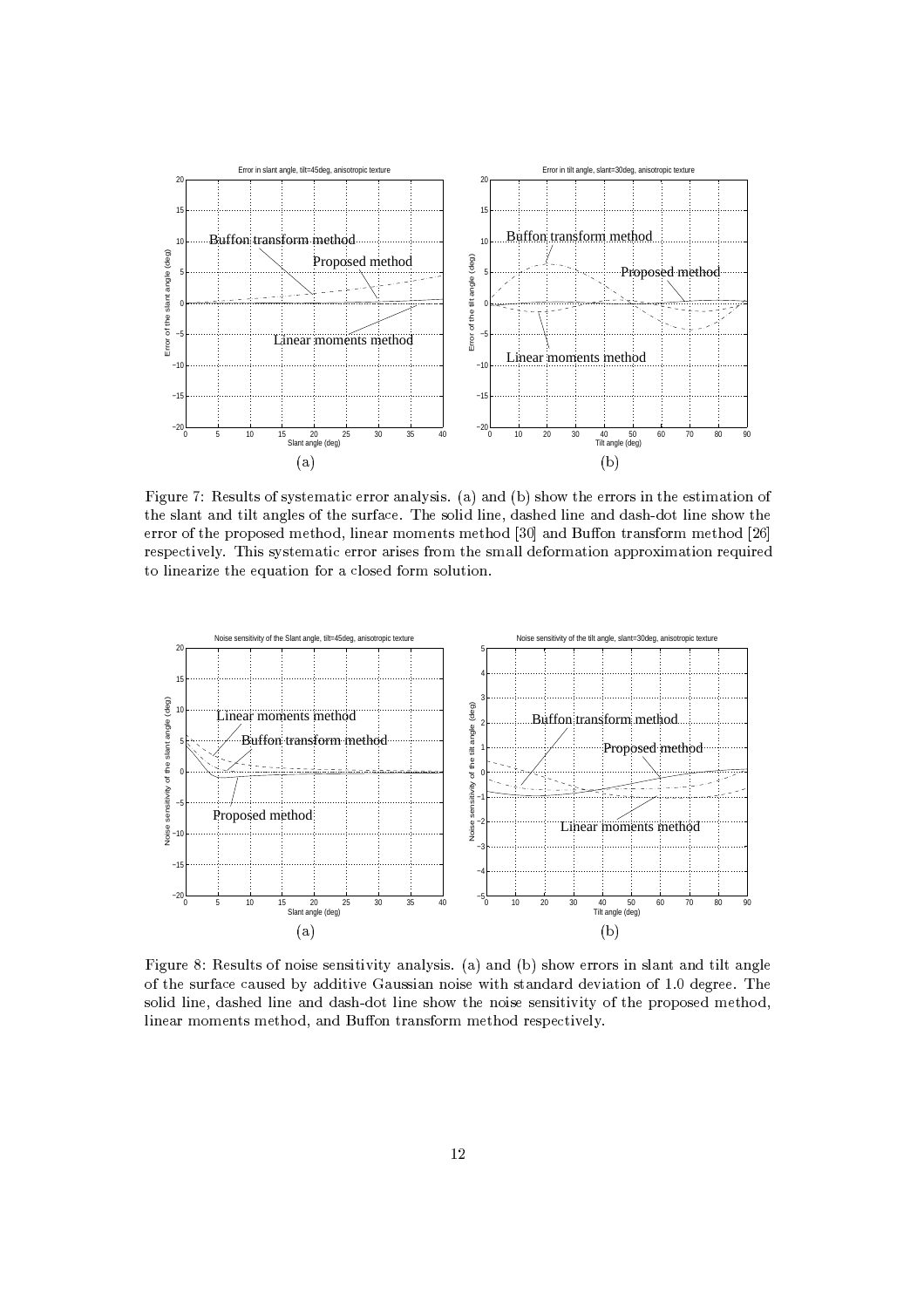

 R :--]R-?-\ J5-PS-G71 # -[
H PS- -(D;t\ ?N mR-+ J/ + --\ &+- 71
 -& <sup>5</sup>  $\bf{1}$  ,  $\bf{1}$  ,  $\bf{1}$  ,  $\bf{1}$  ,  $\bf{1}$  ,  $\bf{1}$  ,  $\bf{1}$  ,  $\bf{1}$  ,  $\bf{1}$  ,  $\bf{1}$  ,  $\bf{1}$  ,  $\bf{1}$  ,  $\bf{1}$  ,  $\bf{1}$  -} J5R+, - --T7G+ S[I (
[7 7S-}7+ SabR ?TVL5 -\_
-^5^ -7 7+ SabW G- # O- PD}\*,+ -L-PS-79 # -, --M5p <sup>7</sup> +?-71
\_5^ -79 1 ? SI 7>J -S  $\overline{a}$  , and  $\overline{a}$  , and  $\overline{a}$  , and  $\overline{a}$  , and  $\overline{a}$  , and  $\overline{a}$  , and  $\overline{a}$  , and  $\overline{a}$  , and  $\overline{a}$  , and  $\overline{a}$  , and  $\overline{a}$  , and  $\overline{a}$  , and  $\overline{a}$  , and  $\overline{a}$  , and  $\overline{a}$  ,



 R :- ][,G- -, J5} - - -?- OS ^P1
H PS- -(D\*t. ?T34L-+ J/sG -, 1-3
I
1 = ?:- J5L+? -^5# # ?-IP O- ;
--!
9? - -U/, +-A H
OS3 9 52%-DQ:--D\*,+? - a HH -+a ?&
aH -+58? -2 -+ / + - - -G- OS 8P J5,+? ? - -a7G+ S[ ( ,7 7S-,7+ SH
1V5 -9\_
-^5^ -7 7T+ S9- # O- PID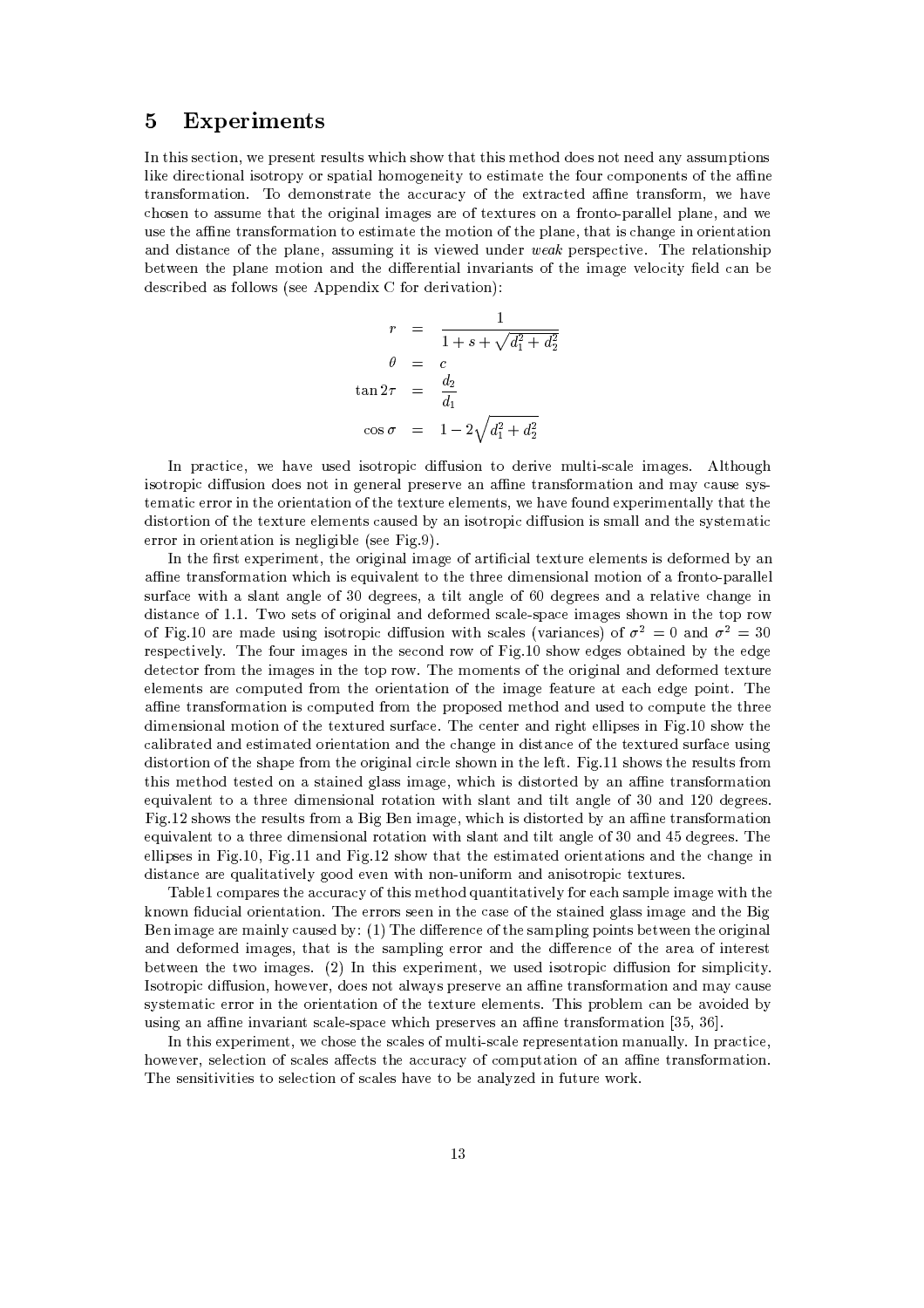### $\overline{5}$ **Experiments**

In this section, we present results which show that this method does not need any assumptions like directional isotropy or spatial homogeneity to estimate the four components of the affine transformation. To demonstrate the accuracy of the extracted affine transform, we have chosen to assume that the original images are of textures on a fronto-parallel plane, and we use the affine transformation to estimate the motion of the plane, that is change in orientation and distance of the plane, assuming it is viewed under weak perspective. The relationship between the plane motion and the differential invariants of the image velocity field can be described as follows (see Appendix C for derivation):

$$
r = \frac{1}{1 + s + \sqrt{d_1^2 + d_2^2}}
$$

$$
\theta = c
$$

$$
\tan 2\tau = \frac{d_2}{d_1}
$$

$$
\cos \sigma = 1 - 2\sqrt{d_1^2 + d_2^2}
$$

In practice, we have used isotropic diffusion to derive multi-scale images. Although isotropic diffusion does not in general preserve an affine transformation and may cause systematic error in the orientation of the texture elements, we have found experimentally that the distortion of the texture elements caused by an isotropic diffusion is small and the systematic error in orientation is negligible (see Fig.9).

In the first experiment, the original image of artificial texture elements is deformed by an affine transformation which is equivalent to the three dimensional motion of a fronto-parallel surface with a slant angle of 30 degrees, a tilt angle of 60 degrees and a relative change in distance of 1.1. Two sets of original and deformed scale-space images shown in the top row of Fig.10 are made using isotropic diffusion with scales (variances) of  $\sigma^2 = 0$  and  $\sigma^2 = 30$ respectively. The four images in the second row of Fig.10 show edges obtained by the edge detector from the images in the top row. The moments of the original and deformed texture elements are computed from the orientation of the image feature at each edge point. The affine transformation is computed from the proposed method and used to compute the three dimensional motion of the textured surface. The center and right ellipses in Fig.10 show the calibrated and estimated orientation and the change in distance of the textured surface using distortion of the shape from the original circle shown in the left. Fig. 11 shows the results from this method tested on a stained glass image, which is distorted by an affine transformation equivalent to a three dimensional rotation with slant and tilt angle of 30 and 120 degrees. Fig. 12 shows the results from a Big Ben image, which is distorted by an affine transformation equivalent to a three dimensional rotation with slant and tilt angle of 30 and 45 degrees. The ellipses in Fig.10, Fig.11 and Fig.12 show that the estimated orientations and the change in distance are qualitatively good even with non-uniform and anisotropic textures.

Table1 compares the accuracy of this method quantitatively for each sample image with the known fiducial orientation. The errors seen in the case of the stained glass image and the Big Ben image are mainly caused by: (1) The difference of the sampling points between the original and deformed images, that is the sampling error and the difference of the area of interest between the two images. (2) In this experiment, we used isotropic diffusion for simplicity. Isotropic diffusion, however, does not always preserve an affine transformation and may cause systematic error in the orientation of the texture elements. This problem can be avoided by using an affine invariant scale-space which preserves an affine transformation [35, 36].

In this experiment, we chose the scales of multi-scale representation manually. In practice, however, selection of scales affects the accuracy of computation of an affine transformation. The sensitivities to selection of scales have to be analyzed in future work.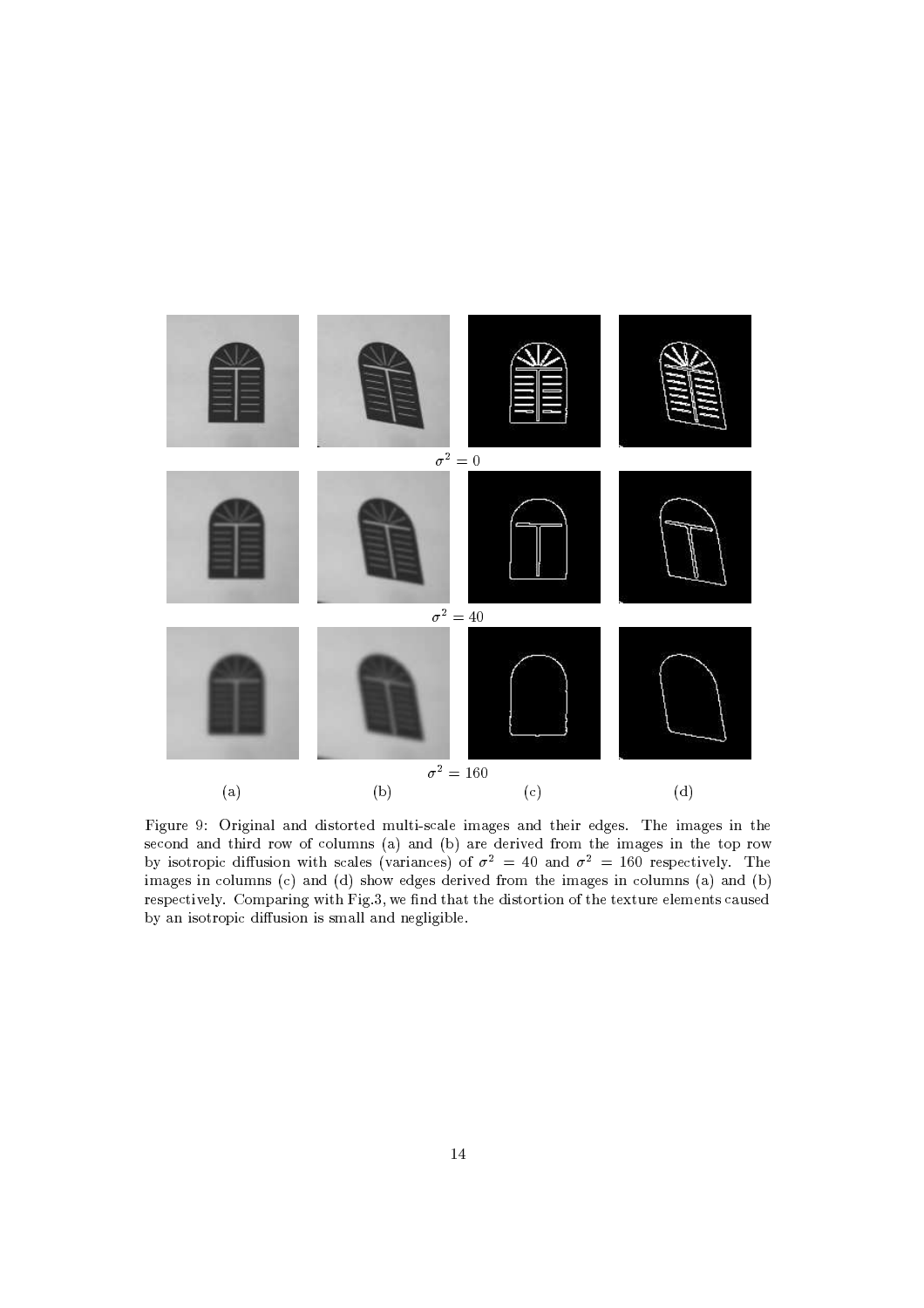

Figure 9: Original and distorted multi-scale images and their edges. The images in the second and third row of columns (a) and (b) are derived from the images in the top row<br>by isotropic diffusion with scales (variances) of  $\sigma^2 = 40$  and  $\sigma^2 = 160$  respectively. The<br>images in columns (c) and (d) show edge respectively. Comparing with Fig.3, we find that the distortion of the texture elements caused by an isotropic diffusion is small and negligible.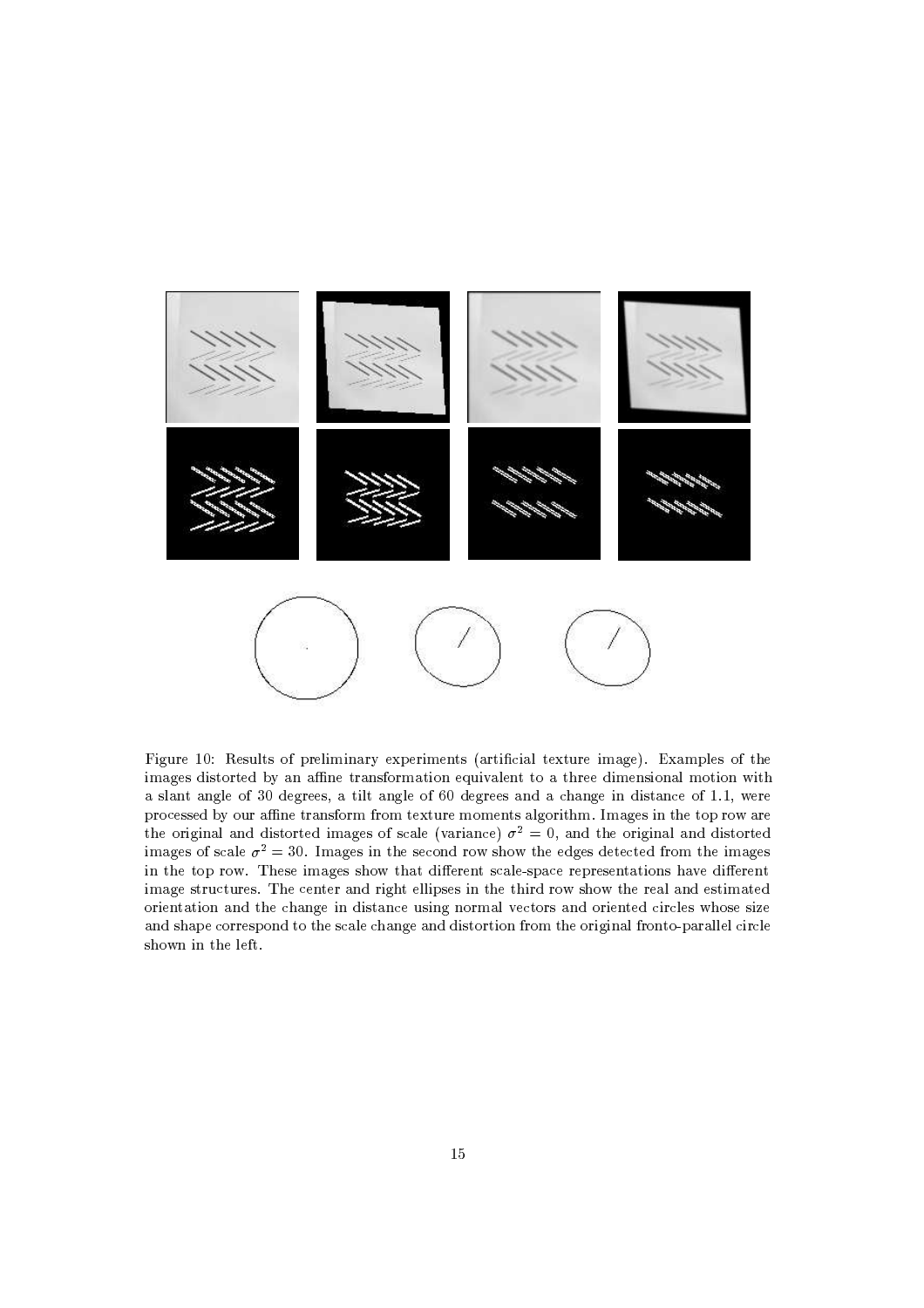

Figure 10: Results of preliminary experiments (artificial texture image). Examples of the images distorted by an affine transformation equivalent to a three dimensional motion with a slant angle of 30 degrees, a tilt angle of 60 degrees and a change in distance of 1.1, were processed by our affine transform from texture moments algorithm. Images in the top row are the original and distorted images of scale (variance)  $\sigma^2 = 0$ , and the original and distorted images of scale  $\sigma^2 = 30$ . Images in the second row show the edges detected from the images in the top row. These images show that different scale-space representations have different image structures. The center and right ellipses in the third row show the real and estimated orientation and the change in distance using normal vectors and oriented circles whose size and shape correspond to the scale change and distortion from the original fronto-parallel circle shown in the left.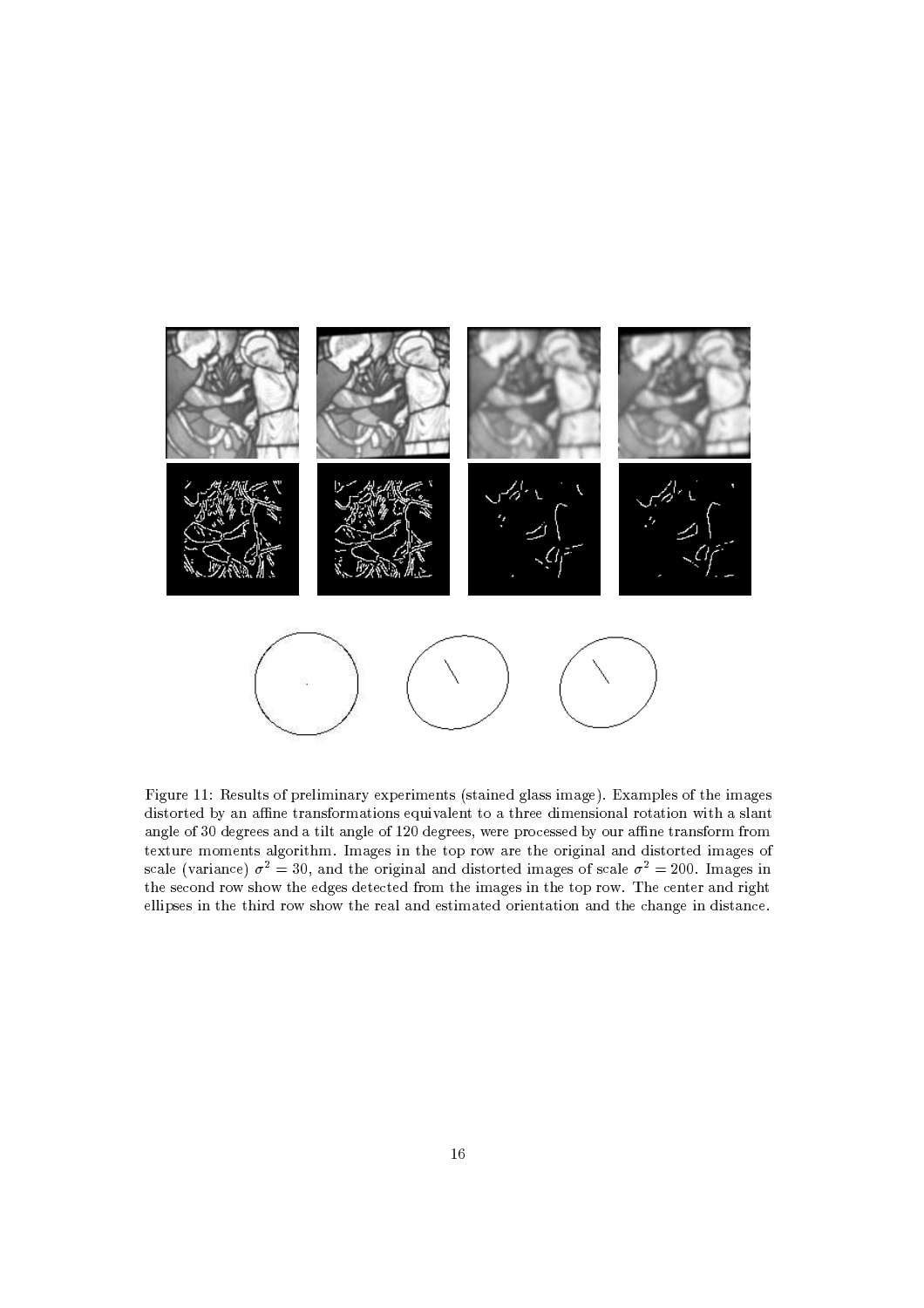

Figure 11: Results of preliminary experiments (stained glass image). Examples of the images distorted by an affine transformations equivalent to a three dimensional rotation with a slant angle of 30 degrees and a tilt angle of 120 degrees, were processed by our affine transform from texture moments algorithm. Images in the top row are the original and distorted images of scale (variance)  $\sigma^2 = 30$ , and the original and distorted images of scale  $\sigma^2 = 200$ . Images in the second row show the edges detected from the images in the top row. The center and right ellipses in the third row show the real and estimated orientation and the change in distance.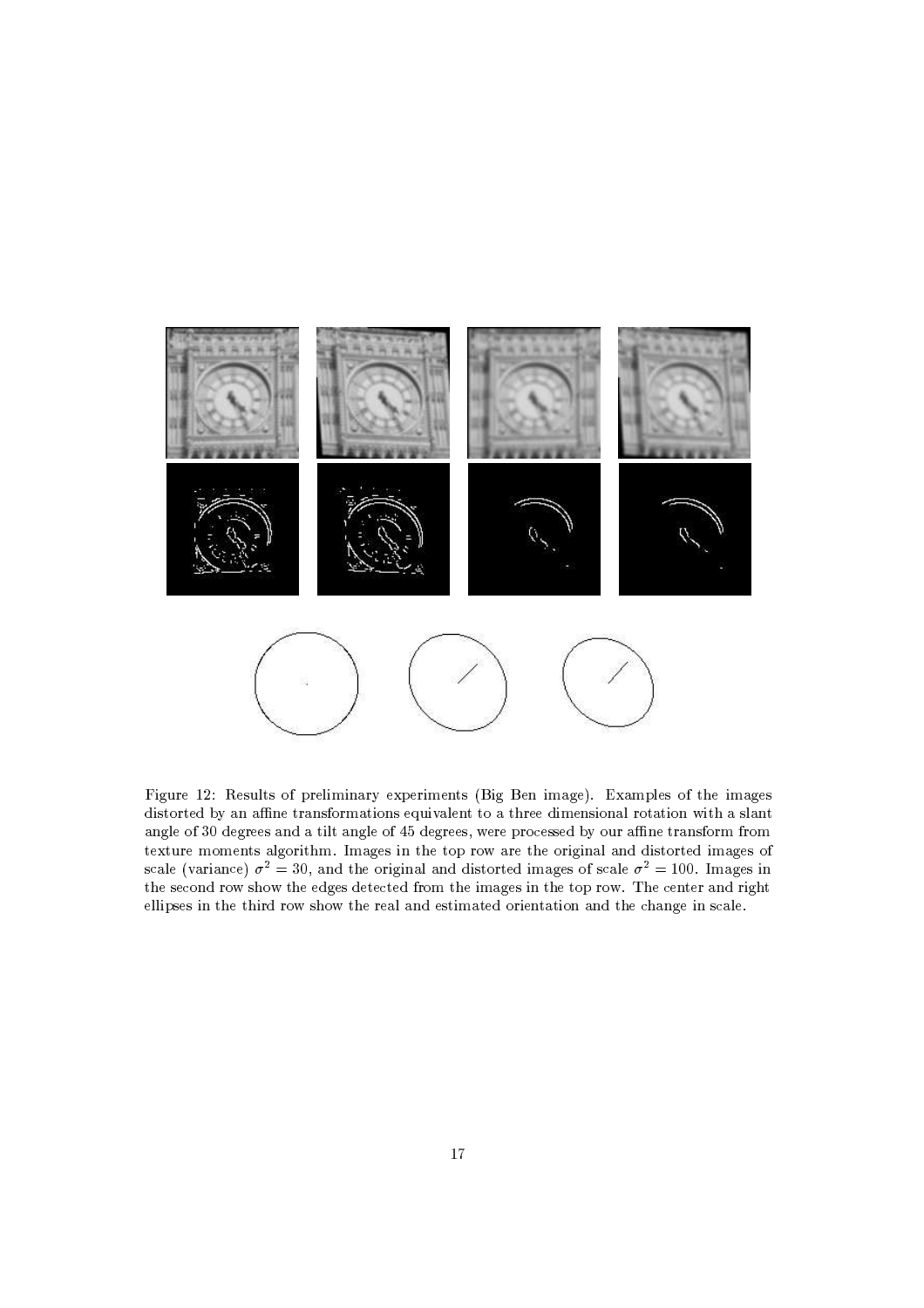

Figure 12: Results of preliminary experiments (Big Ben image). Examples of the images distorted by an affine transformations equivalent to a three dimensional rotation with a slant angle of 30 degrees and a tilt angle of 45 degrees, were processed by our affine transform from texture moments algorithm. Images in the top row are the original and distorted images of scale (variance)  $\sigma^2 = 30$ , and the original and distorted images of scale  $\sigma^2 = 100$ . Images in the second row show the edges detected from the images in the top row. The center and right ellipses in the third row show the real and estimated orientation and the change in scale.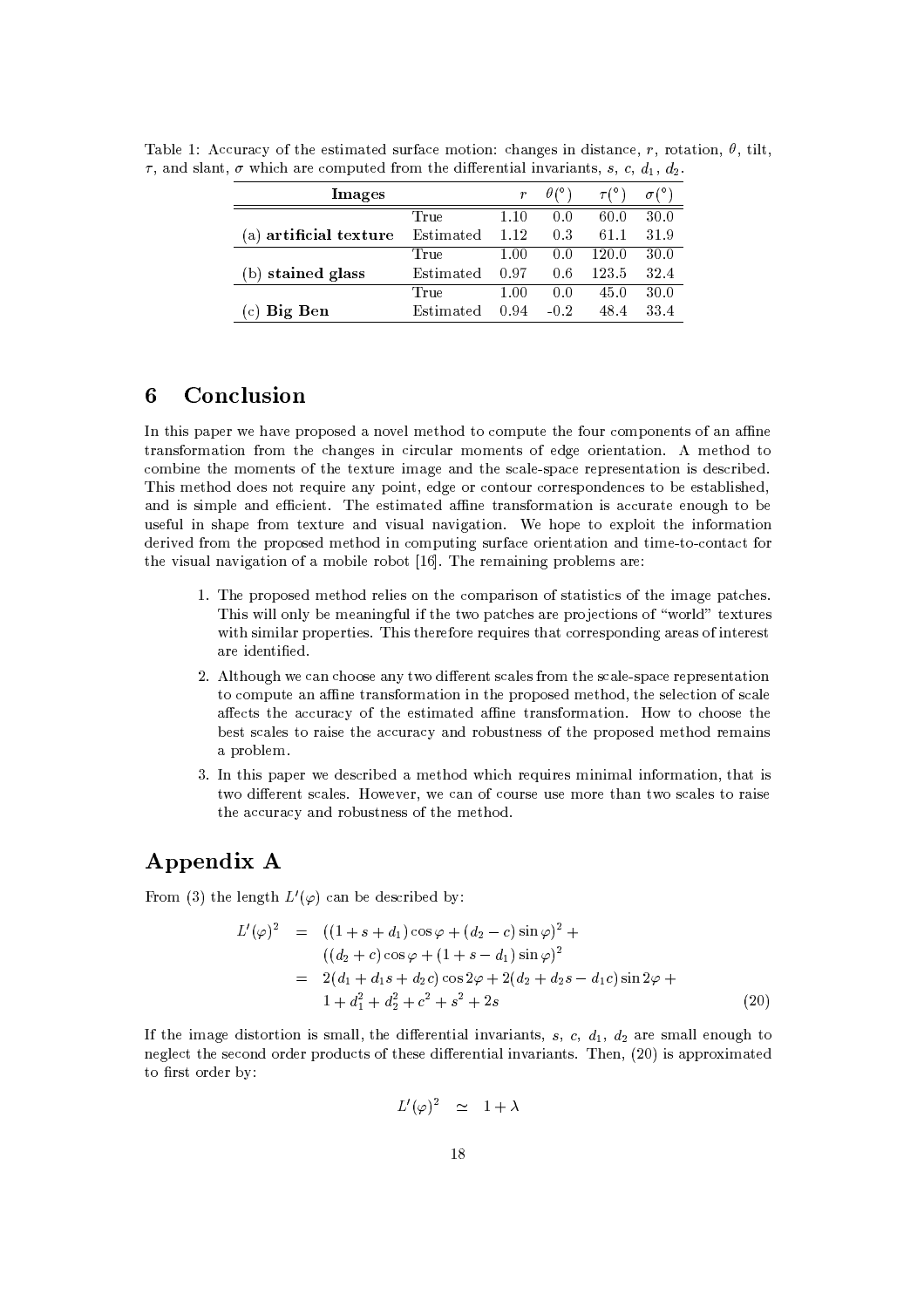| Images                |           | r        |        |       |      |
|-----------------------|-----------|----------|--------|-------|------|
|                       | True      | 1.10     | (1.0)  | 60.0  | 30.0 |
| a) artificial texture | Estimated | 1.12     | 03     | 61.1  | 31.9 |
|                       | True      | $1.00\,$ | 0.0    | 120.0 | 30.0 |
| stained glass         | Estimated | 0.97     | 0.6    | 123.5 | 32.4 |
|                       | True      | 1.00     | (1.0)  | 45.0  | 30.0 |
| Big Ben               | Estimated | 0.94     | $-0.2$ | 48.4  | 33.4 |

Table 1: Accuracy of the estimated surface motion: changes in distance, r, rotation,  $\theta$ , tilt,  $\tau$ , and slant,  $\sigma$  which are computed from the differential invariants, s, c, d<sub>1</sub>, d<sub>2</sub>.

## Conclusion 6

In this paper we have proposed a novel method to compute the four components of an affine transformation from the changes in circular moments of edge orientation. A method to combine the moments of the texture image and the scale-space representation is described. This method does not require any point, edge or contour correspondences to be established, and is simple and efficient. The estimated affine transformation is accurate enough to be useful in shape from texture and visual navigation. We hope to exploit the information derived from the proposed method in computing surface orientation and time-to-contact for the visual navigation of a mobile robot [16]. The remaining problems are:

- 1. The proposed method relies on the comparison of statistics of the image patches. This will only be meaningful if the two patches are projections of "world" textures with similar properties. This therefore requires that corresponding areas of interest are identified.
- 2. Although we can choose any two different scales from the scale-space representation to compute an affine transformation in the proposed method, the selection of scale affects the accuracy of the estimated affine transformation. How to choose the best scales to raise the accuracy and robustness of the proposed method remains a problem.
- 3. In this paper we described a method which requires minimal information, that is two different scales. However, we can of course use more than two scales to raise the accuracy and robustness of the method.

## Appendix A

From (3) the length  $L'(\varphi)$  can be described by:

$$
L'(\varphi)^2 = ((1+s+d_1)\cos\varphi + (d_2 - c)\sin\varphi)^2 +
$$
  
\n
$$
((d_2 + c)\cos\varphi + (1+s-d_1)\sin\varphi)^2
$$
  
\n
$$
= 2(d_1 + d_1s + d_2c)\cos 2\varphi + 2(d_2 + d_2s - d_1c)\sin 2\varphi +
$$
  
\n
$$
1 + d_1^2 + d_2^2 + c^2 + s^2 + 2s
$$
\n(20)

If the image distortion is small, the differential invariants, s, c,  $d_1$ ,  $d_2$  are small enough to neglect the second order products of these differential invariants. Then, (20) is approximated to first order by:

$$
L'(\varphi)^2 \quad \simeq \quad 1 + \lambda
$$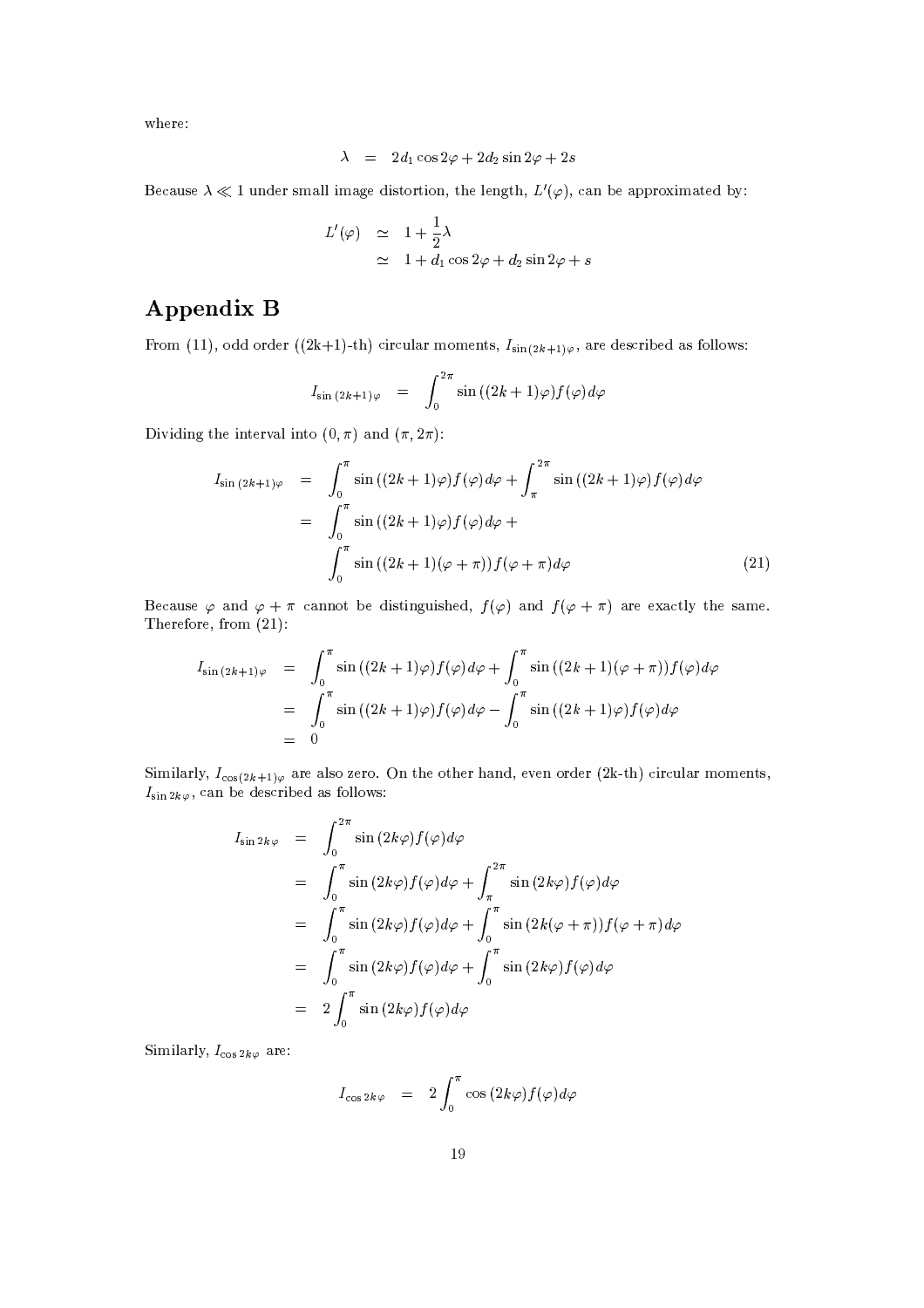where:

$$
\lambda = 2d_1 \cos 2\varphi + 2d_2 \sin 2\varphi + 2s
$$

Because  $\lambda \ll 1$  under small image distortion, the length,  $L'(\varphi)$ , can be approximated by:

$$
L'(\varphi) \simeq 1 + \frac{1}{2}\lambda
$$
  
 
$$
\simeq 1 + d_1 \cos 2\varphi + d_2 \sin 2\varphi + s
$$

# Appendix B

From (11), odd order ((2k+1)-th) circular moments,  $I_{\sin(2k+1)\varphi}$ , are described as follows:

$$
I_{\sin{(2k+1)\varphi}} = \int_0^{2\pi} \sin{((2k+1)\varphi)f(\varphi)}d\varphi
$$

Dividing the interval into  $(0, \pi)$  and  $(\pi, 2\pi)$ :

$$
I_{\sin (2k+1)\varphi} = \int_0^{\pi} \sin ((2k+1)\varphi) f(\varphi) d\varphi + \int_{\pi}^{2\pi} \sin ((2k+1)\varphi) f(\varphi) d\varphi
$$
  

$$
= \int_0^{\pi} \sin ((2k+1)\varphi) f(\varphi) d\varphi + \int_0^{\pi} \sin ((2k+1)(\varphi + \pi)) f(\varphi + \pi) d\varphi
$$
 (21)

Because  $\varphi$  and  $\varphi + \pi$  cannot be distinguished,  $f(\varphi)$  and  $f(\varphi + \pi)$  are exactly the same. Therefore, from  $(21)$ :

$$
I_{\sin (2k+1)\varphi} = \int_0^{\pi} \sin ((2k+1)\varphi) f(\varphi) d\varphi + \int_0^{\pi} \sin ((2k+1)(\varphi + \pi)) f(\varphi) d\varphi
$$
  
= 
$$
\int_0^{\pi} \sin ((2k+1)\varphi) f(\varphi) d\varphi - \int_0^{\pi} \sin ((2k+1)\varphi) f(\varphi) d\varphi
$$
  
= 0

Similarly,  $I_{\cos(2k+1)\varphi}$  are also zero. On the other hand, even order (2k-th) circular moments,  $I_{\sin 2k\varphi}$ , can be described as follows:

$$
I_{\sin 2k\varphi} = \int_0^{2\pi} \sin (2k\varphi) f(\varphi) d\varphi
$$
  
\n
$$
= \int_0^{\pi} \sin (2k\varphi) f(\varphi) d\varphi + \int_{\pi}^{2\pi} \sin (2k\varphi) f(\varphi) d\varphi
$$
  
\n
$$
= \int_0^{\pi} \sin (2k\varphi) f(\varphi) d\varphi + \int_0^{\pi} \sin (2k(\varphi + \pi)) f(\varphi + \pi) d\varphi
$$
  
\n
$$
= \int_0^{\pi} \sin (2k\varphi) f(\varphi) d\varphi + \int_0^{\pi} \sin (2k\varphi) f(\varphi) d\varphi
$$
  
\n
$$
= 2 \int_0^{\pi} \sin (2k\varphi) f(\varphi) d\varphi
$$

Similarly,  $I_{\cos 2k\varphi}$  are:

$$
I_{\cos 2k\varphi} = 2 \int_0^{\pi} \cos (2k\varphi) f(\varphi) d\varphi
$$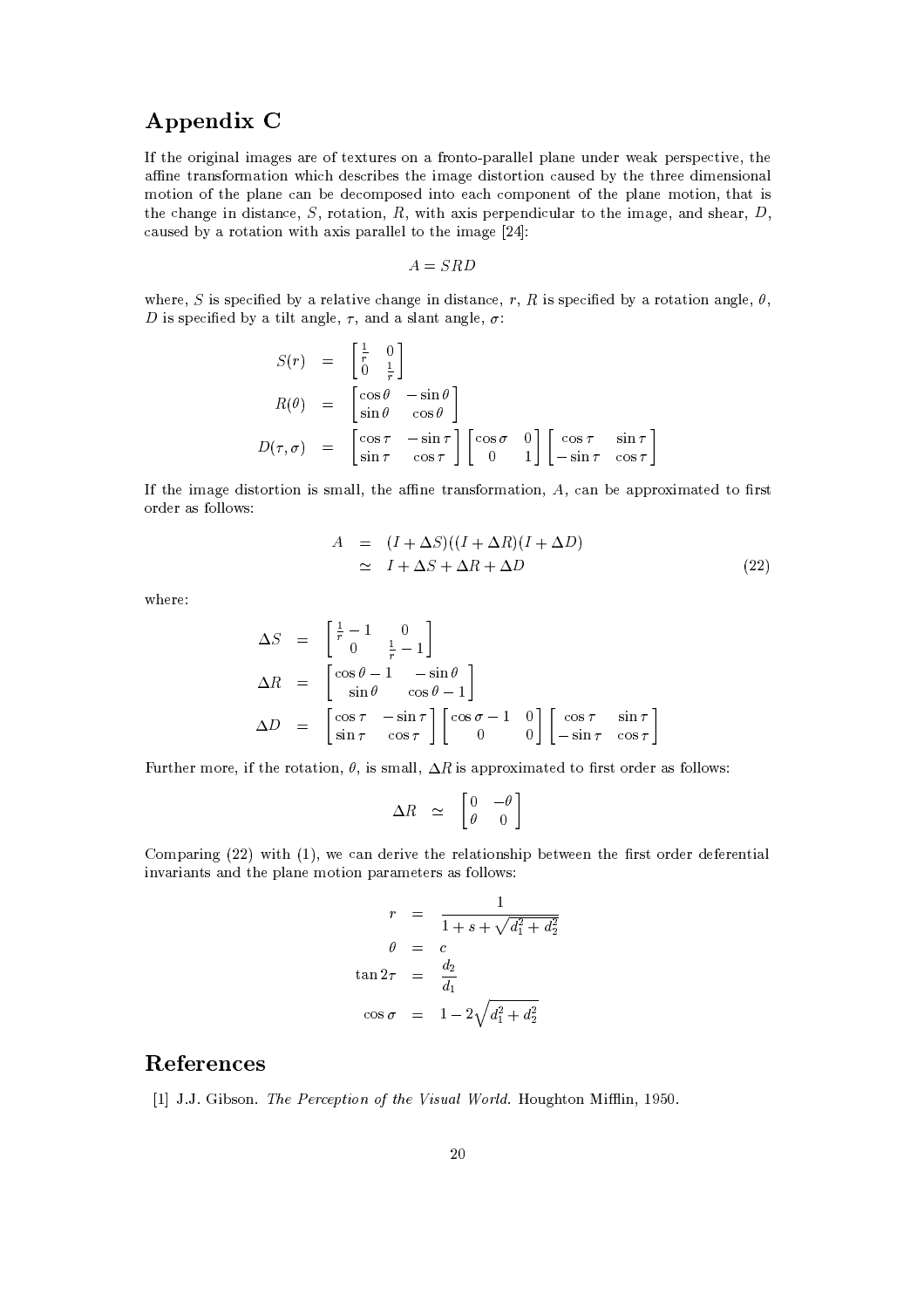## Appendix C

If the original images are of textures on a fronto-parallel plane under weak perspective, the affine transformation which describes the image distortion caused by the three dimensional motion of the plane can be decomposed into each component of the plane motion, that is the change in distance,  $S$ , rotation,  $R$ , with axis perpendicular to the image, and shear,  $D$ , caused by a rotation with axis parallel to the image [24]:

$$
A = SRD
$$

where, S is specified by a relative change in distance, r, R is specified by a rotation angle,  $\theta$ , D is specified by a tilt angle,  $\tau$ , and a slant angle,  $\sigma$ :

$$
S(r) = \begin{bmatrix} \frac{1}{r} & 0 \\ 0 & \frac{1}{r} \end{bmatrix}
$$
  
\n
$$
R(\theta) = \begin{bmatrix} \cos \theta & -\sin \theta \\ \sin \theta & \cos \theta \end{bmatrix}
$$
  
\n
$$
D(\tau, \sigma) = \begin{bmatrix} \cos \tau & -\sin \tau \\ \sin \tau & \cos \tau \end{bmatrix} \begin{bmatrix} \cos \sigma & 0 \\ 0 & 1 \end{bmatrix} \begin{bmatrix} \cos \tau & \sin \tau \\ -\sin \tau & \cos \tau \end{bmatrix}
$$

If the image distortion is small, the affine transformation,  $A$ , can be approximated to first order as follows:

$$
A = (I + \Delta S)((I + \Delta R)(I + \Delta D))
$$
  
\n
$$
\simeq I + \Delta S + \Delta R + \Delta D
$$
\n(22)

where:

$$
\Delta S = \begin{bmatrix} \frac{1}{r} - 1 & 0 \\ 0 & \frac{1}{r} - 1 \end{bmatrix}
$$
  
\n
$$
\Delta R = \begin{bmatrix} \cos \theta - 1 & -\sin \theta \\ \sin \theta & \cos \theta - 1 \end{bmatrix}
$$
  
\n
$$
\Delta D = \begin{bmatrix} \cos \tau & -\sin \tau \\ \sin \tau & \cos \tau \end{bmatrix} \begin{bmatrix} \cos \sigma - 1 & 0 \\ 0 & 0 \end{bmatrix} \begin{bmatrix} \cos \tau & \sin \tau \\ -\sin \tau & \cos \tau \end{bmatrix}
$$

Further more, if the rotation,  $\theta$ , is small,  $\Delta R$  is approximated to first order as follows:

$$
\Delta R \simeq \begin{bmatrix} 0 & -\theta \\ \theta & 0 \end{bmatrix}
$$

Comparing (22) with (1), we can derive the relationship between the first order deferential invariants and the plane motion parameters as follows:

$$
r = \frac{1}{1 + s + \sqrt{d_1^2 + d_2^2}}
$$

$$
\theta = c
$$

$$
\tan 2\tau = \frac{d_2}{d_1}
$$

$$
\cos \sigma = 1 - 2\sqrt{d_1^2 + d_2^2}
$$

## References

[1] J.J. Gibson. The Perception of the Visual World. Houghton Mifflin, 1950.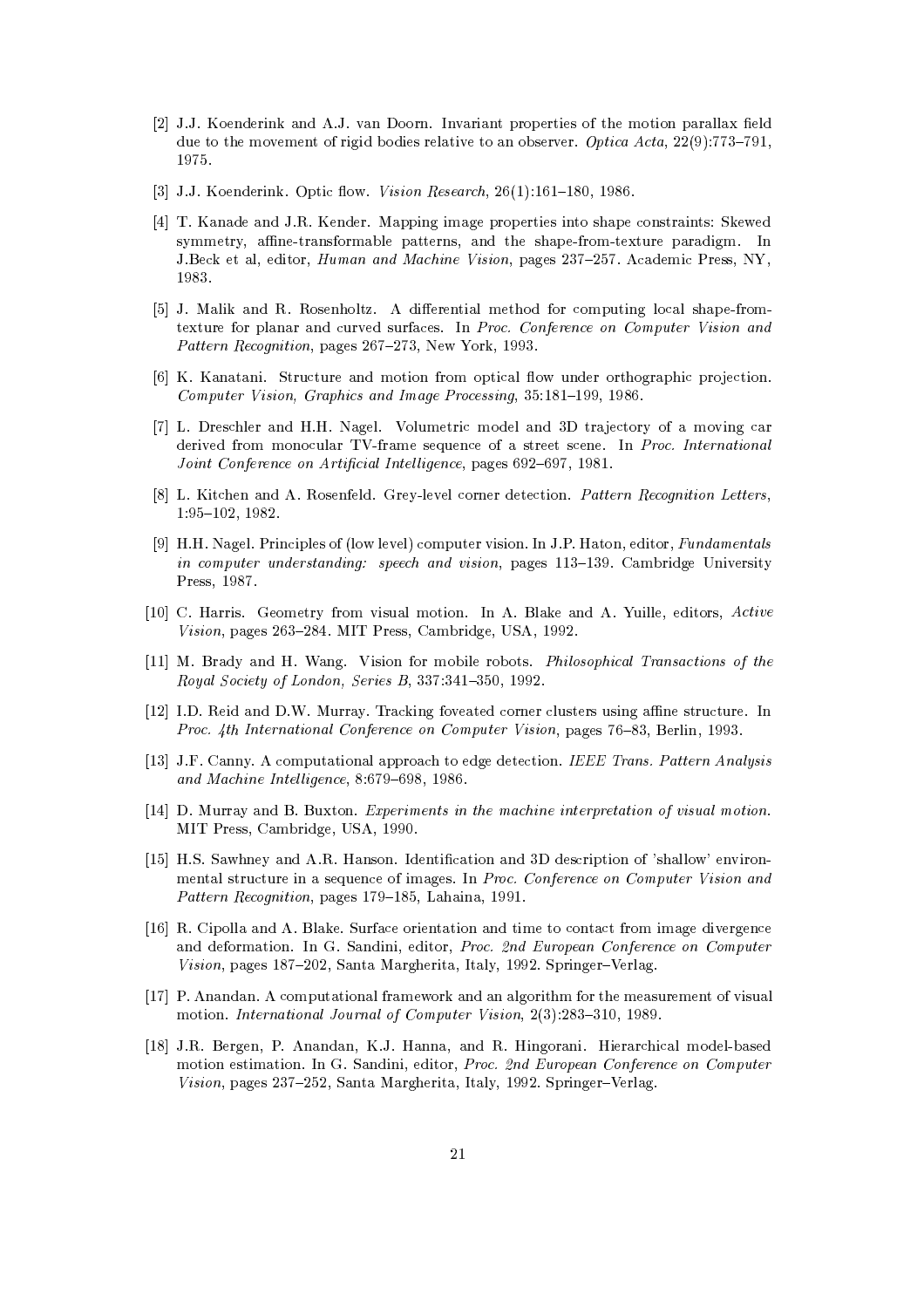- [2] J.J. Koenderink and A.J. van Doorn. Invariant properties of the motion parallax field due to the movement of rigid bodies relative to an observer. Optica Acta,  $22(9)$ :773-791, 1975.
- [3] J.J. Koenderink. Optic flow. Vision Research, 26(1):161-180, 1986.
- [4] T. Kanade and J.R. Kender. Mapping image properties into shape constraints: Skewed symmetry, affine-transformable patterns, and the shape-from-texture paradigm. In J.Beck et al, editor, *Human and Machine Vision*, pages 237-257. Academic Press, NY, 1983.
- [5] J. Malik and R. Rosenholtz. A differential method for computing local shape-fromtexture for planar and curved surfaces. In Proc. Conference on Computer Vision and Pattern Recognition, pages 267-273, New York, 1993.
- [6] K. Kanatani. Structure and motion from optical flow under orthographic projection. Computer Vision, Graphics and Image Processing, 35:181-199, 1986.
- [7] L. Dreschler and H.H. Nagel. Volumetric model and 3D trajectory of a moving car derived from monocular TV-frame sequence of a street scene. In Proc. International Joint Conference on Artificial Intelligence, pages 692-697, 1981.
- [8] L. Kitchen and A. Rosenfeld. Grey-level corner detection. Pattern Recognition Letters,  $1:95-102, 1982.$
- [9] H.H. Nagel. Principles of (low level) computer vision. In J.P. Haton, editor, *Fundamentals* in computer understanding: speech and vision, pages 113-139. Cambridge University Press, 1987.
- [10] C. Harris. Geometry from visual motion. In A. Blake and A. Yuille, editors, Active Vision, pages 263-284. MIT Press, Cambridge, USA, 1992.
- [11] M. Brady and H. Wang. Vision for mobile robots. *Philosophical Transactions of the* Royal Society of London, Series B, 337:341-350, 1992.
- [12] I.D. Reid and D.W. Murray. Tracking foveated corner clusters using affine structure. In Proc. 4th International Conference on Computer Vision, pages 76–83, Berlin, 1993.
- [13] J.F. Canny. A computational approach to edge detection. IEEE Trans. Pattern Analysis and Machine Intelligence, 8:679-698, 1986.
- [14] D. Murray and B. Buxton. Experiments in the machine interpretation of visual motion. MIT Press, Cambridge, USA, 1990.
- [15] H.S. Sawhney and A.R. Hanson. Identification and 3D description of 'shallow' environmental structure in a sequence of images. In Proc. Conference on Computer Vision and Pattern Recognition, pages 179-185, Lahaina, 1991.
- [16] R. Cipolla and A. Blake. Surface orientation and time to contact from image divergence and deformation. In G. Sandini, editor, Proc. 2nd European Conference on Computer Vision, pages 187-202, Santa Margherita, Italy, 1992. Springer-Verlag.
- [17] P. Anandan. A computational framework and an algorithm for the measurement of visual motion. International Journal of Computer Vision, 2(3):283-310, 1989.
- [18] J.R. Bergen, P. Anandan, K.J. Hanna, and R. Hingorani. Hierarchical model-based motion estimation. In G. Sandini, editor, *Proc. 2nd European Conference on Computer* Vision, pages 237-252, Santa Margherita, Italy, 1992. Springer-Verlag.